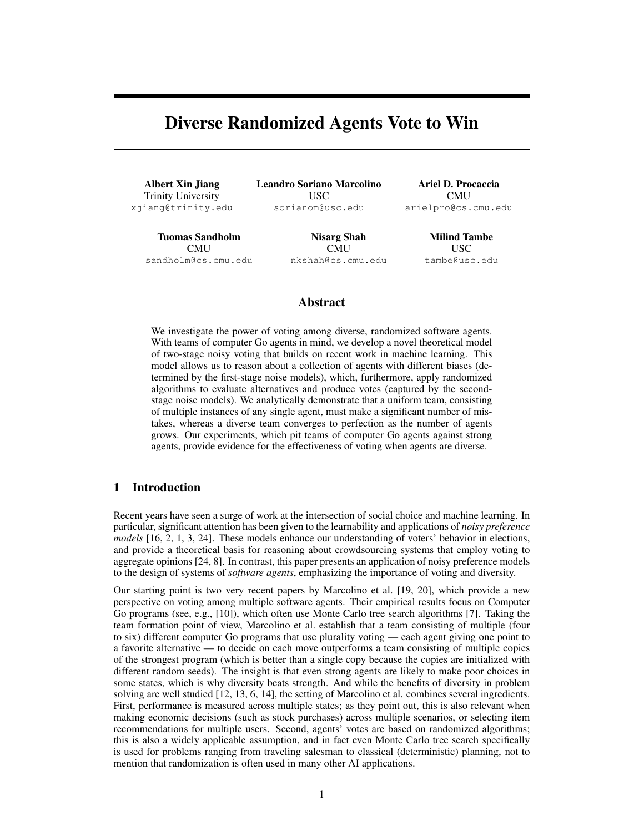# Diverse Randomized Agents Vote to Win

Albert Xin Jiang Trinity University xjiang@trinity.edu Leandro Soriano Marcolino USC sorianom@usc.edu

Tuomas Sandholm **CMU** sandholm@cs.cmu.edu

Nisarg Shah CMU nkshah@cs.cmu.edu

Ariel D. Procaccia CMU arielpro@cs.cmu.edu

> Milind Tambe USC tambe@usc.edu

### Abstract

We investigate the power of voting among diverse, randomized software agents. With teams of computer Go agents in mind, we develop a novel theoretical model of two-stage noisy voting that builds on recent work in machine learning. This model allows us to reason about a collection of agents with different biases (determined by the first-stage noise models), which, furthermore, apply randomized algorithms to evaluate alternatives and produce votes (captured by the secondstage noise models). We analytically demonstrate that a uniform team, consisting of multiple instances of any single agent, must make a significant number of mistakes, whereas a diverse team converges to perfection as the number of agents grows. Our experiments, which pit teams of computer Go agents against strong agents, provide evidence for the effectiveness of voting when agents are diverse.

### <span id="page-0-0"></span>1 Introduction

Recent years have seen a surge of work at the intersection of social choice and machine learning. In particular, significant attention has been given to the learnability and applications of *noisy preference models* [\[16,](#page-8-0) [2,](#page-8-1) [1,](#page-8-2) [3,](#page-8-3) [24\]](#page-8-4). These models enhance our understanding of voters' behavior in elections, and provide a theoretical basis for reasoning about crowdsourcing systems that employ voting to aggregate opinions [\[24,](#page-8-4) [8\]](#page-8-5). In contrast, this paper presents an application of noisy preference models to the design of systems of *software agents*, emphasizing the importance of voting and diversity.

Our starting point is two very recent papers by Marcolino et al. [\[19,](#page-8-6) [20\]](#page-8-7), which provide a new perspective on voting among multiple software agents. Their empirical results focus on Computer Go programs (see, e.g., [\[10\]](#page-8-8)), which often use Monte Carlo tree search algorithms [\[7\]](#page-8-9). Taking the team formation point of view, Marcolino et al. establish that a team consisting of multiple (four to six) different computer Go programs that use plurality voting — each agent giving one point to a favorite alternative — to decide on each move outperforms a team consisting of multiple copies of the strongest program (which is better than a single copy because the copies are initialized with different random seeds). The insight is that even strong agents are likely to make poor choices in some states, which is why diversity beats strength. And while the benefits of diversity in problem solving are well studied [\[12,](#page-8-10) [13,](#page-8-11) [6,](#page-8-12) [14\]](#page-8-13), the setting of Marcolino et al. combines several ingredients. First, performance is measured across multiple states; as they point out, this is also relevant when making economic decisions (such as stock purchases) across multiple scenarios, or selecting item recommendations for multiple users. Second, agents' votes are based on randomized algorithms; this is also a widely applicable assumption, and in fact even Monte Carlo tree search specifically is used for problems ranging from traveling salesman to classical (deterministic) planning, not to mention that randomization is often used in many other AI applications.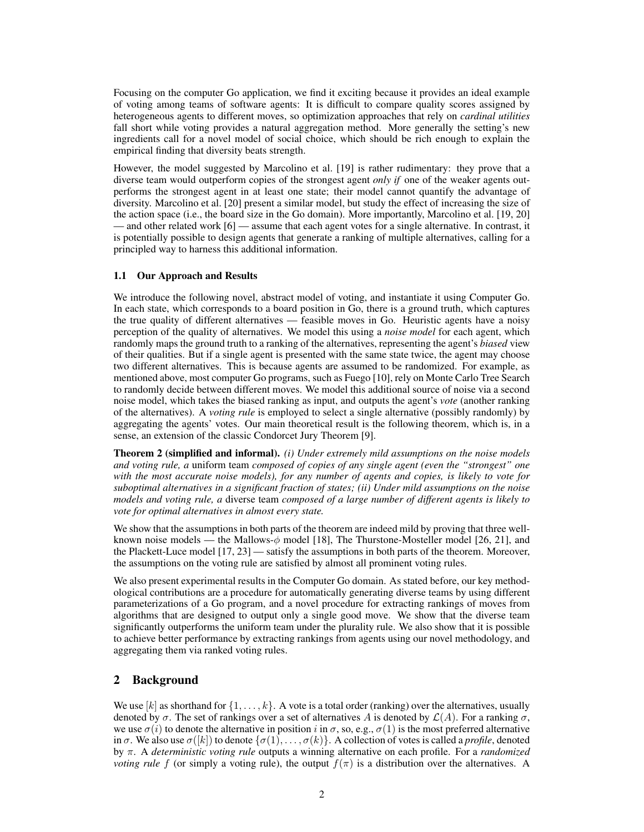Focusing on the computer Go application, we find it exciting because it provides an ideal example of voting among teams of software agents: It is difficult to compare quality scores assigned by heterogeneous agents to different moves, so optimization approaches that rely on *cardinal utilities* fall short while voting provides a natural aggregation method. More generally the setting's new ingredients call for a novel model of social choice, which should be rich enough to explain the empirical finding that diversity beats strength.

However, the model suggested by Marcolino et al. [\[19\]](#page-8-6) is rather rudimentary: they prove that a diverse team would outperform copies of the strongest agent *only if* one of the weaker agents outperforms the strongest agent in at least one state; their model cannot quantify the advantage of diversity. Marcolino et al. [\[20\]](#page-8-7) present a similar model, but study the effect of increasing the size of the action space (i.e., the board size in the Go domain). More importantly, Marcolino et al. [\[19,](#page-8-6) [20\]](#page-8-7) — and other related work [\[6\]](#page-8-12) — assume that each agent votes for a single alternative. In contrast, it is potentially possible to design agents that generate a ranking of multiple alternatives, calling for a principled way to harness this additional information.

#### 1.1 Our Approach and Results

We introduce the following novel, abstract model of voting, and instantiate it using Computer Go. In each state, which corresponds to a board position in Go, there is a ground truth, which captures the true quality of different alternatives — feasible moves in Go. Heuristic agents have a noisy perception of the quality of alternatives. We model this using a *noise model* for each agent, which randomly maps the ground truth to a ranking of the alternatives, representing the agent's *biased* view of their qualities. But if a single agent is presented with the same state twice, the agent may choose two different alternatives. This is because agents are assumed to be randomized. For example, as mentioned above, most computer Go programs, such as Fuego [\[10\]](#page-8-8), rely on Monte Carlo Tree Search to randomly decide between different moves. We model this additional source of noise via a second noise model, which takes the biased ranking as input, and outputs the agent's *vote* (another ranking of the alternatives). A *voting rule* is employed to select a single alternative (possibly randomly) by aggregating the agents' votes. Our main theoretical result is the following theorem, which is, in a sense, an extension of the classic Condorcet Jury Theorem [\[9\]](#page-8-14).

Theorem [2](#page-5-0) (simplified and informal). *(i) Under extremely mild assumptions on the noise models and voting rule, a* uniform team *composed of copies of any single agent (even the "strongest" one with the most accurate noise models), for any number of agents and copies, is likely to vote for suboptimal alternatives in a significant fraction of states; (ii) Under mild assumptions on the noise models and voting rule, a* diverse team *composed of a large number of different agents is likely to vote for optimal alternatives in almost every state.*

We show that the assumptions in both parts of the theorem are indeed mild by proving that three wellknown noise models — the Mallows- $\phi$  model [\[18\]](#page-8-15), The Thurstone-Mosteller model [\[26,](#page-8-16) [21\]](#page-8-17), and the Plackett-Luce model [\[17,](#page-8-18) [23\]](#page-8-19) — satisfy the assumptions in both parts of the theorem. Moreover, the assumptions on the voting rule are satisfied by almost all prominent voting rules.

We also present experimental results in the Computer Go domain. As stated before, our key methodological contributions are a procedure for automatically generating diverse teams by using different parameterizations of a Go program, and a novel procedure for extracting rankings of moves from algorithms that are designed to output only a single good move. We show that the diverse team significantly outperforms the uniform team under the plurality rule. We also show that it is possible to achieve better performance by extracting rankings from agents using our novel methodology, and aggregating them via ranked voting rules.

### 2 Background

We use  $[k]$  as shorthand for  $\{1, \ldots, k\}$ . A vote is a total order (ranking) over the alternatives, usually denoted by  $\sigma$ . The set of rankings over a set of alternatives A is denoted by  $\mathcal{L}(A)$ . For a ranking  $\sigma$ , we use  $\sigma(i)$  to denote the alternative in position i in  $\sigma$ , so, e.g.,  $\sigma(1)$  is the most preferred alternative in  $\sigma$ . We also use  $\sigma([k])$  to denote  $\{\sigma(1), \ldots, \sigma(k)\}\)$ . A collection of votes is called a *profile*, denoted by π. A *deterministic voting rule* outputs a winning alternative on each profile. For a *randomized voting rule* f (or simply a voting rule), the output  $f(\pi)$  is a distribution over the alternatives. A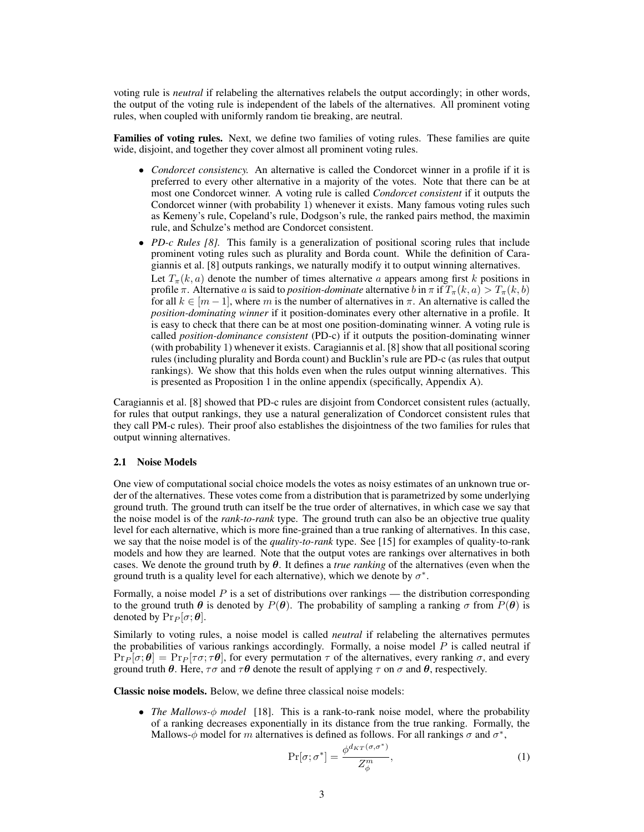voting rule is *neutral* if relabeling the alternatives relabels the output accordingly; in other words, the output of the voting rule is independent of the labels of the alternatives. All prominent voting rules, when coupled with uniformly random tie breaking, are neutral.

Families of voting rules. Next, we define two families of voting rules. These families are quite wide, disjoint, and together they cover almost all prominent voting rules.

- *Condorcet consistency.* An alternative is called the Condorcet winner in a profile if it is preferred to every other alternative in a majority of the votes. Note that there can be at most one Condorcet winner. A voting rule is called *Condorcet consistent* if it outputs the Condorcet winner (with probability 1) whenever it exists. Many famous voting rules such as Kemeny's rule, Copeland's rule, Dodgson's rule, the ranked pairs method, the maximin rule, and Schulze's method are Condorcet consistent.
- *PD-c Rules [\[8\]](#page-8-5).* This family is a generalization of positional scoring rules that include prominent voting rules such as plurality and Borda count. While the definition of Caragiannis et al. [\[8\]](#page-8-5) outputs rankings, we naturally modify it to output winning alternatives. Let  $T_{\pi}(k, a)$  denote the number of times alternative a appears among first k positions in profile  $\pi$ . Alternative a is said to *position-dominate* alternative b in  $\pi$  if  $T_{\pi}(k, a) > T_{\pi}(k, b)$ for all  $k \in [m-1]$ , where m is the number of alternatives in  $\pi$ . An alternative is called the *position-dominating winner* if it position-dominates every other alternative in a profile. It is easy to check that there can be at most one position-dominating winner. A voting rule is called *position-dominance consistent* (PD-c) if it outputs the position-dominating winner (with probability 1) whenever it exists. Caragiannis et al. [\[8\]](#page-8-5) show that all positional scoring rules (including plurality and Borda count) and Bucklin's rule are PD-c (as rules that output rankings). We show that this holds even when the rules output winning alternatives. This is presented as Proposition [1](#page-9-0) in the online appendix (specifically, Appendix [A\)](#page-9-1).

Caragiannis et al. [\[8\]](#page-8-5) showed that PD-c rules are disjoint from Condorcet consistent rules (actually, for rules that output rankings, they use a natural generalization of Condorcet consistent rules that they call PM-c rules). Their proof also establishes the disjointness of the two families for rules that output winning alternatives.

#### <span id="page-2-0"></span>2.1 Noise Models

One view of computational social choice models the votes as noisy estimates of an unknown true order of the alternatives. These votes come from a distribution that is parametrized by some underlying ground truth. The ground truth can itself be the true order of alternatives, in which case we say that the noise model is of the *rank-to-rank* type. The ground truth can also be an objective true quality level for each alternative, which is more fine-grained than a true ranking of alternatives. In this case, we say that the noise model is of the *quality-to-rank* type. See [\[15\]](#page-8-20) for examples of quality-to-rank models and how they are learned. Note that the output votes are rankings over alternatives in both cases. We denote the ground truth by  $\theta$ . It defines a *true ranking* of the alternatives (even when the ground truth is a quality level for each alternative), which we denote by  $\sigma^*$ .

Formally, a noise model  $P$  is a set of distributions over rankings — the distribution corresponding to the ground truth  $\theta$  is denoted by  $P(\theta)$ . The probability of sampling a ranking  $\sigma$  from  $P(\theta)$  is denoted by  $Pr_P[\sigma; \theta]$ .

Similarly to voting rules, a noise model is called *neutral* if relabeling the alternatives permutes the probabilities of various rankings accordingly. Formally, a noise model  $P$  is called neutral if  $\Pr_P[\sigma;\theta] = \Pr_P[\tau\sigma;\tau\theta]$ , for every permutation  $\tau$  of the alternatives, every ranking  $\sigma$ , and every ground truth  $\theta$ . Here,  $\tau\sigma$  and  $\tau\theta$  denote the result of applying  $\tau$  on  $\sigma$  and  $\theta$ , respectively.

Classic noise models. Below, we define three classical noise models:

• *The Mallows-*φ *model* [\[18\]](#page-8-15). This is a rank-to-rank noise model, where the probability of a ranking decreases exponentially in its distance from the true ranking. Formally, the Mallows- $\phi$  model for m alternatives is defined as follows. For all rankings  $\sigma$  and  $\sigma^*$ ,

<span id="page-2-1"></span>
$$
\Pr[\sigma; \sigma^*] = \frac{\phi^{d_{KT}(\sigma, \sigma^*)}}{Z_{\phi}^m},\tag{1}
$$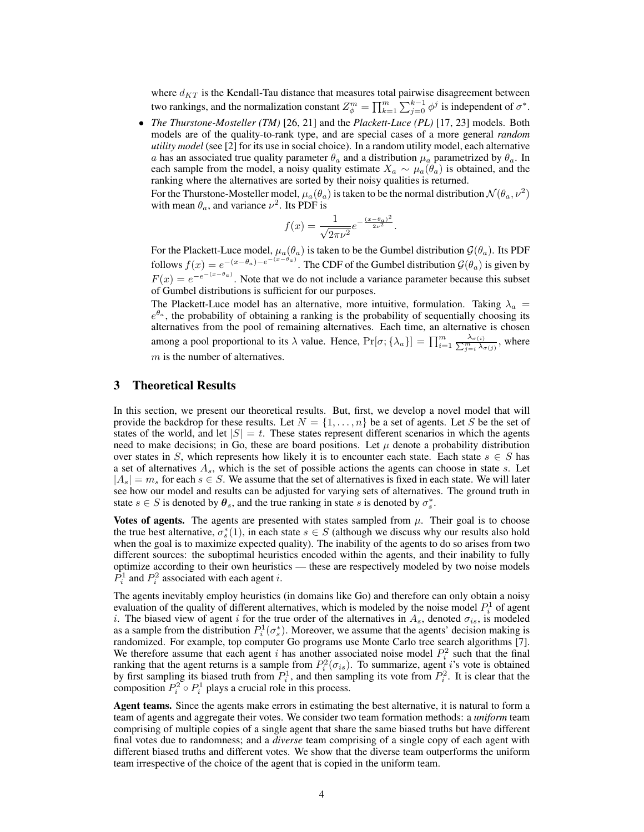where  $d_{KT}$  is the Kendall-Tau distance that measures total pairwise disagreement between two rankings, and the normalization constant  $Z_{\phi}^{m} = \prod_{k=1}^{m} \sum_{j=0}^{k-1} \phi^{j}$  is independent of  $\sigma^{*}$ .

• *The Thurstone-Mosteller (TM)* [\[26,](#page-8-16) [21\]](#page-8-17) and the *Plackett-Luce (PL)* [\[17,](#page-8-18) [23\]](#page-8-19) models. Both models are of the quality-to-rank type, and are special cases of a more general *random utility model* (see [\[2\]](#page-8-1) for its use in social choice). In a random utility model, each alternative a has an associated true quality parameter  $\theta_a$  and a distribution  $\mu_a$  parametrized by  $\theta_a$ . In each sample from the model, a noisy quality estimate  $X_a \sim \mu_a(\theta_a)$  is obtained, and the ranking where the alternatives are sorted by their noisy qualities is returned.

For the Thurstone-Mosteller model,  $\mu_a(\theta_a)$  is taken to be the normal distribution  $\mathcal{N}(\theta_a, \nu^2)$ with mean  $\theta_a$ , and variance  $\nu^2$ . Its PDF is

$$
f(x) = \frac{1}{\sqrt{2\pi\nu^2}} e^{-\frac{(x-\theta_a)^2}{2\nu^2}}.
$$

For the Plackett-Luce model,  $\mu_a(\theta_a)$  is taken to be the Gumbel distribution  $\mathcal{G}(\theta_a)$ . Its PDF follows  $f(x) = e^{-(x-\theta_a)-e^{-(x-\theta_a)}}$ . The CDF of the Gumbel distribution  $\mathcal{G}(\theta_a)$  is given by  $F(x) = e^{-e^{-(x-\theta_a)}}$ . Note that we do not include a variance parameter because this subset of Gumbel distributions is sufficient for our purposes.

The Plackett-Luce model has an alternative, more intuitive, formulation. Taking  $\lambda_a$  =  $e^{\theta_a}$ , the probability of obtaining a ranking is the probability of sequentially choosing its alternatives from the pool of remaining alternatives. Each time, an alternative is chosen among a pool proportional to its  $\lambda$  value. Hence,  $Pr[\sigma; \{\lambda_a\}] = \prod_{i=1}^m \frac{\lambda_{\sigma(i)}}{\sum_{j=i}^m \lambda_{\sigma(j)}}$ , where  $m$  is the number of alternatives.

### 3 Theoretical Results

In this section, we present our theoretical results. But, first, we develop a novel model that will provide the backdrop for these results. Let  $N = \{1, \ldots, n\}$  be a set of agents. Let S be the set of states of the world, and let  $|S| = t$ . These states represent different scenarios in which the agents need to make decisions; in Go, these are board positions. Let  $\mu$  denote a probability distribution over states in S, which represents how likely it is to encounter each state. Each state  $s \in S$  has a set of alternatives  $A_s$ , which is the set of possible actions the agents can choose in state s. Let  $|A_s| = m_s$  for each  $s \in S$ . We assume that the set of alternatives is fixed in each state. We will later see how our model and results can be adjusted for varying sets of alternatives. The ground truth in state  $s \in S$  is denoted by  $\theta_s$ , and the true ranking in state s is denoted by  $\sigma_s^*$ .

Votes of agents. The agents are presented with states sampled from  $\mu$ . Their goal is to choose the true best alternative,  $\sigma_s^*(1)$ , in each state  $s \in S$  (although we discuss why our results also hold when the goal is to maximize expected quality). The inability of the agents to do so arises from two different sources: the suboptimal heuristics encoded within the agents, and their inability to fully optimize according to their own heuristics — these are respectively modeled by two noise models  $\hat{P}_i^1$  and  $P_i^2$  associated with each agent *i*.

The agents inevitably employ heuristics (in domains like Go) and therefore can only obtain a noisy evaluation of the quality of different alternatives, which is modeled by the noise model  $P_i^1$  of agent i. The biased view of agent i for the true order of the alternatives in  $A_s$ , denoted  $\sigma_{is}$ , is modeled as a sample from the distribution  $P_i^1(\sigma_s^*)$ . Moreover, we assume that the agents' decision making is randomized. For example, top computer Go programs use Monte Carlo tree search algorithms [\[7\]](#page-8-9). We therefore assume that each agent i has another associated noise model  $P_i^2$  such that the final we incredict assume that each agent *t* has another associated holse model  $T_i$  such that the final ranking that the agent returns is a sample from  $P_i^2(\sigma_{is})$ . To summarize, agent *i*'s vote is obtained by first sampling its biased truth from  $P_i^1$ , and then sampling its vote from  $P_i^2$ . It is clear that the composition  $P_i^2 \circ P_i^1$  plays a crucial role in this process.

Agent teams. Since the agents make errors in estimating the best alternative, it is natural to form a team of agents and aggregate their votes. We consider two team formation methods: a *uniform* team comprising of multiple copies of a single agent that share the same biased truths but have different final votes due to randomness; and a *diverse* team comprising of a single copy of each agent with different biased truths and different votes. We show that the diverse team outperforms the uniform team irrespective of the choice of the agent that is copied in the uniform team.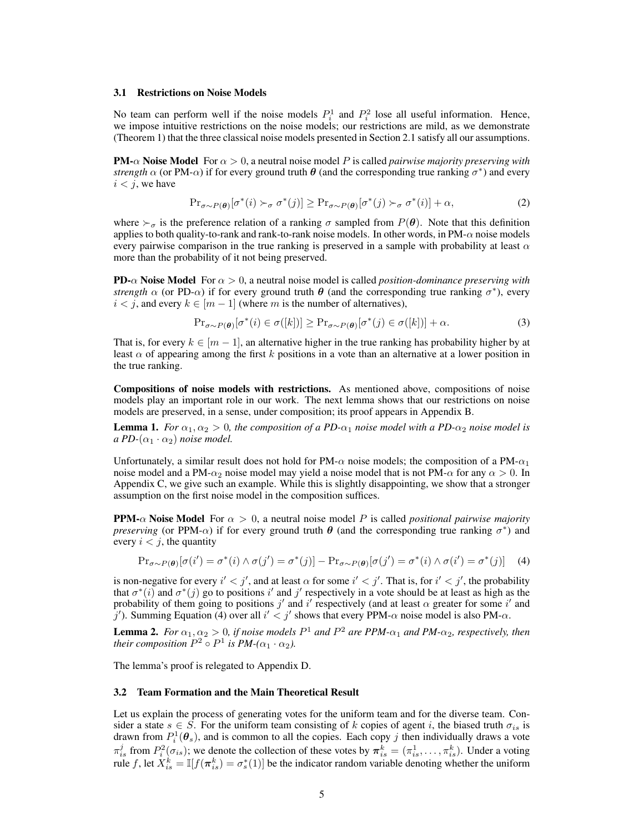#### 3.1 Restrictions on Noise Models

No team can perform well if the noise models  $P_i^1$  and  $P_i^2$  lose all useful information. Hence, we impose intuitive restrictions on the noise models; our restrictions are mild, as we demonstrate (Theorem [1\)](#page-5-1) that the three classical noise models presented in Section [2.1](#page-2-0) satisfy all our assumptions.

**PM-** $\alpha$  **Noise Model** For  $\alpha > 0$ , a neutral noise model P is called *pairwise majority preserving with strength*  $\alpha$  (or PM- $\alpha$ ) if for every ground truth  $\theta$  (and the corresponding true ranking  $\sigma^*$ ) and every  $i < j$ , we have

$$
\Pr_{\sigma \sim P(\boldsymbol{\theta})} [\sigma^*(i) \succ_{\sigma} \sigma^*(j)] \ge \Pr_{\sigma \sim P(\boldsymbol{\theta})} [\sigma^*(j) \succ_{\sigma} \sigma^*(i)] + \alpha,
$$
\n(2)

where  $\succ_{\sigma}$  is the preference relation of a ranking  $\sigma$  sampled from  $P(\theta)$ . Note that this definition applies to both quality-to-rank and rank-to-rank noise models. In other words, in  $PM-\alpha$  noise models every pairwise comparison in the true ranking is preserved in a sample with probability at least  $\alpha$ more than the probability of it not being preserved.

**PD-** $\alpha$  **Noise Model** For  $\alpha > 0$ , a neutral noise model is called *position-dominance preserving with strength*  $\alpha$  (or PD- $\alpha$ ) if for every ground truth  $\theta$  (and the corresponding true ranking  $\sigma^*$ ), every  $i < j$ , and every  $k \in [m-1]$  (where m is the number of alternatives),

$$
\Pr_{\sigma \sim P(\boldsymbol{\theta})} [\sigma^*(i) \in \sigma([k])] \ge \Pr_{\sigma \sim P(\boldsymbol{\theta})} [\sigma^*(j) \in \sigma([k])] + \alpha.
$$
 (3)

That is, for every  $k \in [m-1]$ , an alternative higher in the true ranking has probability higher by at least  $\alpha$  of appearing among the first k positions in a vote than an alternative at a lower position in the true ranking.

Compositions of noise models with restrictions. As mentioned above, compositions of noise models play an important role in our work. The next lemma shows that our restrictions on noise models are preserved, in a sense, under composition; its proof appears in Appendix [B.](#page-9-2)

<span id="page-4-1"></span>**Lemma 1.** *For*  $\alpha_1, \alpha_2 > 0$ *, the composition of a PD-* $\alpha_1$  *noise model with a PD-* $\alpha_2$  *noise model is a PD-* $(\alpha_1 \cdot \alpha_2)$  *noise model.* 

Unfortunately, a similar result does not hold for  $PM-\alpha$  noise models; the composition of a PM- $\alpha_1$ noise model and a PM- $\alpha_2$  noise model may yield a noise model that is not PM- $\alpha$  for any  $\alpha > 0$ . In Appendix [C,](#page-10-0) we give such an example. While this is slightly disappointing, we show that a stronger assumption on the first noise model in the composition suffices.

**PPM-** $\alpha$  Noise Model For  $\alpha > 0$ , a neutral noise model P is called *positional pairwise majority preserving* (or PPM- $\alpha$ ) if for every ground truth  $\theta$  (and the corresponding true ranking  $\sigma^*$ ) and every  $i < j$ , the quantity

<span id="page-4-0"></span>
$$
\Pr_{\sigma \sim P(\boldsymbol{\theta})} [\sigma(i') = \sigma^*(i) \land \sigma(j') = \sigma^*(j)] - \Pr_{\sigma \sim P(\boldsymbol{\theta})} [\sigma(j') = \sigma^*(i) \land \sigma(i') = \sigma^*(j)] \tag{4}
$$

is non-negative for every  $i' < j'$ , and at least  $\alpha$  for some  $i' < j'$ . That is, for  $i' < j'$ , the probability that  $\sigma^*(i)$  and  $\sigma^*(j)$  go to positions i' and j' respectively in a vote should be at least as high as the probability of them going to positions  $j'$  and  $i'$  respectively (and at least  $\alpha$  greater for some  $i'$  and j'). Summing Equation [\(4\)](#page-4-0) over all  $i' < j'$  shows that every PPM- $\alpha$  noise model is also PM- $\alpha$ .

<span id="page-4-2"></span>**Lemma 2.** *For*  $\alpha_1, \alpha_2 > 0$ , *if noise models*  $P^1$  *and*  $P^2$  *are*  $PPM$ - $\alpha_1$  *and*  $PM$ - $\alpha_2$ , *respectively, then their composition*  $P^2 \circ P^1$  *is PM-*( $\alpha_1 \cdot \alpha_2$ ).

The lemma's proof is relegated to Appendix [D.](#page-10-1)

#### 3.2 Team Formation and the Main Theoretical Result

Let us explain the process of generating votes for the uniform team and for the diverse team. Consider a state  $s \in S$ . For the uniform team consisting of k copies of agent i, the biased truth  $\sigma_{is}$  is drawn from  $P_i^1(\theta_s)$ , and is common to all the copies. Each copy j then individually draws a vote  $\pi_{is}^j$  from  $P_i^2(\sigma_{is})$ ; we denote the collection of these votes by  $\pi_{is}^k = (\pi_{is}^1, \dots, \pi_{is}^k)$ . Under a voting rule f, let  $X_{is}^k = \mathbb{I}[f(\pi_{is}^k) = \sigma_s^*(1)]$  be the indicator random variable denoting whether the uniform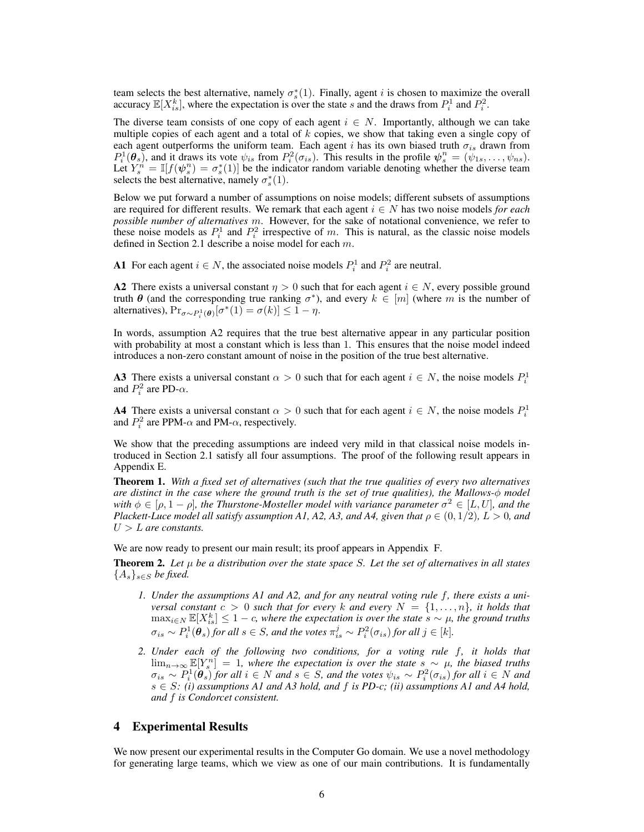team selects the best alternative, namely  $\sigma_s^*(1)$ . Finally, agent *i* is chosen to maximize the overall accuracy  $\mathbb{E}[X_{is}^k]$ , where the expectation is over the state s and the draws from  $P_i^1$  and  $P_i^2$ .

The diverse team consists of one copy of each agent  $i \in N$ . Importantly, although we can take multiple copies of each agent and a total of  $k$  copies, we show that taking even a single copy of each agent outperforms the uniform team. Each agent i has its own biased truth  $\sigma_{is}$  drawn from  $P_i^1(\theta_s)$ , and it draws its vote  $\psi_{is}$  from  $P_i^2(\sigma_{is})$ . This results in the profile  $\psi_s^n = (\psi_{1s}, \dots, \psi_{ns})$ . Let  $Y_s^n = \mathbb{I}[f(\psi_s^n) = \sigma_s^*(1)]$  be the indicator random variable denoting whether the diverse team selects the best alternative, namely  $\sigma_s^*(1)$ .

Below we put forward a number of assumptions on noise models; different subsets of assumptions are required for different results. We remark that each agent  $i \in N$  has two noise models *for each possible number of alternatives* m. However, for the sake of notational convenience, we refer to these noise models as  $P_i^1$  and  $P_i^2$  irrespective of m. This is natural, as the classic noise models defined in Section [2.1](#page-2-0) describe a noise model for each m.

A1 For each agent  $i \in N$ , the associated noise models  $P_i^1$  and  $P_i^2$  are neutral.

A2 There exists a universal constant  $\eta > 0$  such that for each agent  $i \in N$ , every possible ground truth  $\theta$  (and the corresponding true ranking  $\sigma^*$ ), and every  $k \in [m]$  (where m is the number of alternatives),  $Pr_{\sigma \sim P_i^1(\boldsymbol{\theta})}[\sigma^*(1) = \sigma(k)] \leq 1 - \eta$ .

In words, assumption A2 requires that the true best alternative appear in any particular position with probability at most a constant which is less than 1. This ensures that the noise model indeed introduces a non-zero constant amount of noise in the position of the true best alternative.

**A3** There exists a universal constant  $\alpha > 0$  such that for each agent  $i \in N$ , the noise models  $P_i^1$ and  $P_i^2$  are PD- $\alpha$ .

**A4** There exists a universal constant  $\alpha > 0$  such that for each agent  $i \in N$ , the noise models  $P_i^1$ and  $P_i^2$  are PPM- $\alpha$  and PM- $\alpha$ , respectively.

We show that the preceding assumptions are indeed very mild in that classical noise models introduced in Section [2.1](#page-2-0) satisfy all four assumptions. The proof of the following result appears in Appendix [E.](#page-10-2)

<span id="page-5-1"></span>Theorem 1. *With a fixed set of alternatives (such that the true qualities of every two alternatives are distinct in the case where the ground truth is the set of true qualities), the Mallows-*φ *model* with  $\phi \in [\rho, 1-\rho]$ , the Thurstone-Mosteller model with variance parameter  $\sigma^2 \in [L, U]$ , and the *Plackett-Luce model all satisfy assumption A1, A2, A3, and A4, given that*  $\rho \in (0, 1/2)$ *, L* > 0*, and* U > L *are constants.*

We are now ready to present our main result; its proof appears in Appendix [F.](#page-16-0)

<span id="page-5-0"></span>**Theorem 2.** Let  $\mu$  be a distribution over the state space S. Let the set of alternatives in all states  ${A_s}_{s \in S}$  *be fixed.* 

- *1. Under the assumptions A1 and A2, and for any neutral voting rule* f*, there exists a universal constant*  $c > 0$  *such that for every* k and every  $N = \{1, \ldots, n\}$ , it holds that  $\max_{i \in N} \mathbb{E}[X_{is}^k] \leq 1 - c$ , where the expectation is over the state  $s \sim \mu$ , the ground truths  $\sigma_{is} \sim P_i^1(\theta_s)$  for all  $s \in S$ , and the votes  $\pi_{is}^j \sim P_i^2(\sigma_{is})$  for all  $j \in [k]$ .
- *2. Under each of the following two conditions, for a voting rule* f*, it holds that* lim<sub>n→∞</sub>  $\mathbb{E}[Y_s^n] = 1$ , where the expectation is over the state  $s \sim \mu$ , the biased truths  $\sigma_{is} \sim P_i^1(\hat{\theta}_s)$  *for all*  $i \in N$  *and*  $s \in S$ *, and the votes*  $\psi_{is} \sim P_i^2(\sigma_{is})$  *for all*  $i \in N$  *and* s ∈ S*: (i) assumptions A1 and A3 hold, and* f *is PD-c; (ii) assumptions A1 and A4 hold, and* f *is Condorcet consistent.*

## 4 Experimental Results

We now present our experimental results in the Computer Go domain. We use a novel methodology for generating large teams, which we view as one of our main contributions. It is fundamentally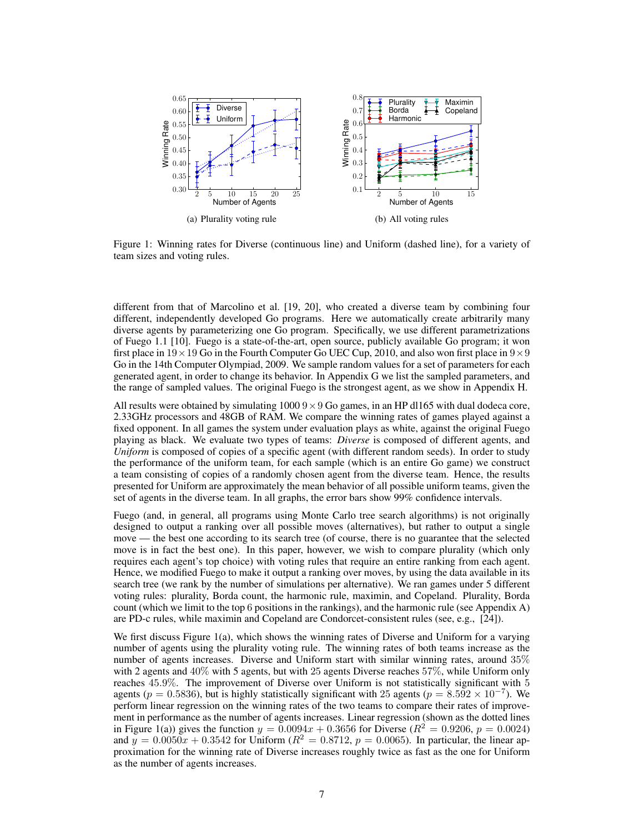<span id="page-6-1"></span><span id="page-6-0"></span>

Figure 1: Winning rates for Diverse (continuous line) and Uniform (dashed line), for a variety of team sizes and voting rules.

different from that of Marcolino et al. [\[19,](#page-8-6) [20\]](#page-8-7), who created a diverse team by combining four different, independently developed Go programs. Here we automatically create arbitrarily many diverse agents by parameterizing one Go program. Specifically, we use different parametrizations of Fuego 1.1 [\[10\]](#page-8-8). Fuego is a state-of-the-art, open source, publicly available Go program; it won first place in  $19 \times 19$  Go in the Fourth Computer Go UEC Cup, 2010, and also won first place in  $9 \times 9$ Go in the 14th Computer Olympiad, 2009. We sample random values for a set of parameters for each generated agent, in order to change its behavior. In Appendix [G](#page-17-0) we list the sampled parameters, and the range of sampled values. The original Fuego is the strongest agent, as we show in Appendix [H.](#page-17-1)

All results were obtained by simulating  $10009 \times 9$  Go games, in an HP dl165 with dual dodeca core, 2.33GHz processors and 48GB of RAM. We compare the winning rates of games played against a fixed opponent. In all games the system under evaluation plays as white, against the original Fuego playing as black. We evaluate two types of teams: *Diverse* is composed of different agents, and *Uniform* is composed of copies of a specific agent (with different random seeds). In order to study the performance of the uniform team, for each sample (which is an entire Go game) we construct a team consisting of copies of a randomly chosen agent from the diverse team. Hence, the results presented for Uniform are approximately the mean behavior of all possible uniform teams, given the set of agents in the diverse team. In all graphs, the error bars show 99% confidence intervals.

Fuego (and, in general, all programs using Monte Carlo tree search algorithms) is not originally designed to output a ranking over all possible moves (alternatives), but rather to output a single move — the best one according to its search tree (of course, there is no guarantee that the selected move is in fact the best one). In this paper, however, we wish to compare plurality (which only requires each agent's top choice) with voting rules that require an entire ranking from each agent. Hence, we modified Fuego to make it output a ranking over moves, by using the data available in its search tree (we rank by the number of simulations per alternative). We ran games under 5 different voting rules: plurality, Borda count, the harmonic rule, maximin, and Copeland. Plurality, Borda count (which we limit to the top 6 positions in the rankings), and the harmonic rule (see Appendix [A\)](#page-9-1) are PD-c rules, while maximin and Copeland are Condorcet-consistent rules (see, e.g., [\[24\]](#page-8-4)).

We first discuss Figure [1\(a\),](#page-6-0) which shows the winning rates of Diverse and Uniform for a varying number of agents using the plurality voting rule. The winning rates of both teams increase as the number of agents increases. Diverse and Uniform start with similar winning rates, around 35% with 2 agents and 40% with 5 agents, but with 25 agents Diverse reaches 57%, while Uniform only reaches 45.9%. The improvement of Diverse over Uniform is not statistically significant with 5 agents ( $p = 0.5836$ ), but is highly statistically significant with 25 agents ( $p = 8.592 \times 10^{-7}$ ). We perform linear regression on the winning rates of the two teams to compare their rates of improvement in performance as the number of agents increases. Linear regression (shown as the dotted lines in Figure [1\(a\)\)](#page-6-0) gives the function  $y = 0.0094x + 0.3656$  for Diverse ( $R^2 = 0.9206$ ,  $p = 0.0024$ ) and  $y = 0.0050x + 0.3542$  for Uniform ( $R^2 = 0.8712$ ,  $p = 0.0065$ ). In particular, the linear approximation for the winning rate of Diverse increases roughly twice as fast as the one for Uniform as the number of agents increases.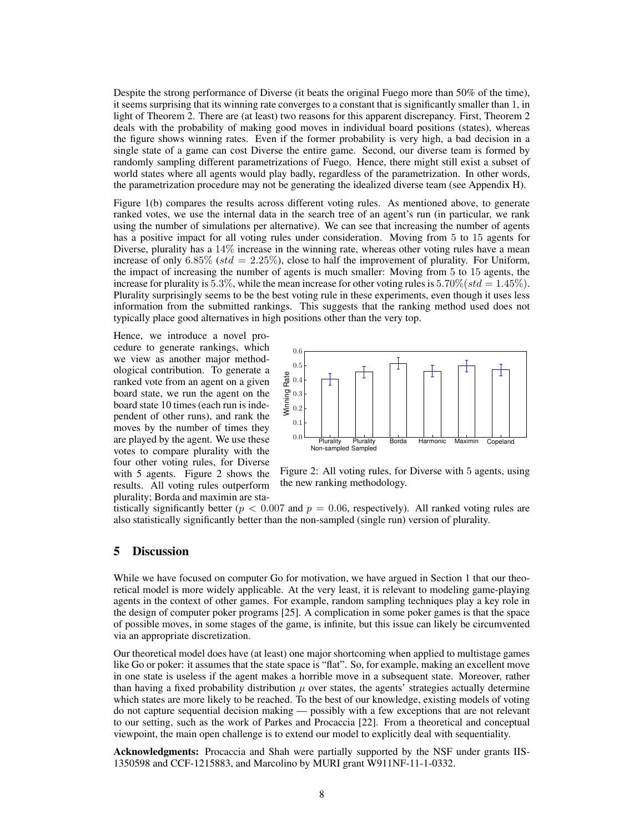Despite the strong performance of Diverse (it beats the original Fuego more than 50% of the time), it seems surprising that its winning rate converges to a constant that is significantly smaller than 1, in light of Theorem [2.](#page-5-0) There are (at least) two reasons for this apparent discrepancy. First, Theorem [2](#page-5-0) deals with the probability of making good moves in individual board positions (states), whereas the figure shows winning rates. Even if the former probability is very high, a bad decision in a single state of a game can cost Diverse the entire game. Second, our diverse team is formed by randomly sampling different parametrizations of Fuego. Hence, there might still exist a subset of world states where all agents would play badly, regardless of the parametrization. In other words, the parametrization procedure may not be generating the idealized diverse team (see Appendix [H\)](#page-17-1).

Figure [1\(b\)](#page-6-1) compares the results across different voting rules. As mentioned above, to generate ranked votes, we use the internal data in the search tree of an agent's run (in particular, we rank using the number of simulations per alternative). We can see that increasing the number of agents has a positive impact for all voting rules under consideration. Moving from 5 to 15 agents for Diverse, plurality has a 14% increase in the winning rate, whereas other voting rules have a mean increase of only 6.85% (std = 2.25%), close to half the improvement of plurality. For Uniform, the impact of increasing the number of agents is much smaller: Moving from 5 to 15 agents, the increase for plurality is 5.3%, while the mean increase for other voting rules is 5.70% ( $std = 1.45\%$ ). Plurality surprisingly seems to be the best voting rule in these experiments, even though it uses less information from the submitted rankings. This suggests that the ranking method used does not typically place good alternatives in high positions other than the very top.

Hence, we introduce a novel procedure to generate rankings, which we view as another major methodological contribution. To generate a ranked vote from an agent on a given board state, we run the agent on the board state 10 times (each run is independent of other runs), and rank the moves by the number of times they are played by the agent. We use these votes to compare plurality with the four other voting rules, for Diverse with 5 agents. Figure [2](#page-7-0) shows the results. All voting rules outperform plurality; Borda and maximin are sta-

<span id="page-7-0"></span>

Figure 2: All voting rules, for Diverse with 5 agents, using the new ranking methodology.

tistically significantly better ( $p < 0.007$  and  $p = 0.06$ , respectively). All ranked voting rules are also statistically significantly better than the non-sampled (single run) version of plurality.

#### 5 Discussion

While we have focused on computer Go for motivation, we have argued in Section [1](#page-0-0) that our theoretical model is more widely applicable. At the very least, it is relevant to modeling game-playing agents in the context of other games. For example, random sampling techniques play a key role in the design of computer poker programs [\[25\]](#page-8-21). A complication in some poker games is that the space of possible moves, in some stages of the game, is infinite, but this issue can likely be circumvented via an appropriate discretization.

Our theoretical model does have (at least) one major shortcoming when applied to multistage games like Go or poker: it assumes that the state space is "flat". So, for example, making an excellent move in one state is useless if the agent makes a horrible move in a subsequent state. Moreover, rather than having a fixed probability distribution  $\mu$  over states, the agents' strategies actually determine which states are more likely to be reached. To the best of our knowledge, existing models of voting do not capture sequential decision making — possibly with a few exceptions that are not relevant to our setting, such as the work of Parkes and Procaccia [\[22\]](#page-8-22). From a theoretical and conceptual viewpoint, the main open challenge is to extend our model to explicitly deal with sequentiality.

Acknowledgments: Procaccia and Shah were partially supported by the NSF under grants IIS-1350598 and CCF-1215883, and Marcolino by MURI grant W911NF-11-1-0332.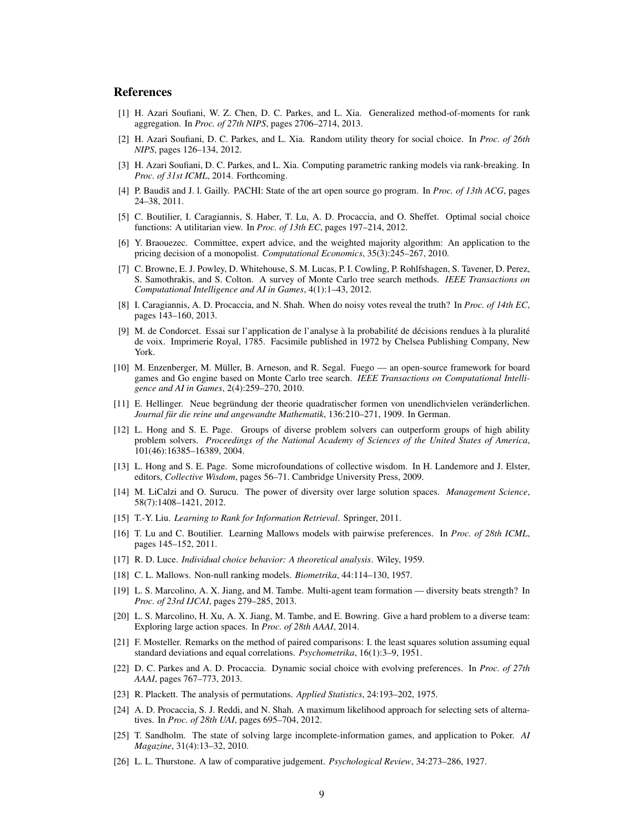### **References**

- <span id="page-8-2"></span>[1] H. Azari Soufiani, W. Z. Chen, D. C. Parkes, and L. Xia. Generalized method-of-moments for rank aggregation. In *Proc. of 27th NIPS*, pages 2706–2714, 2013.
- <span id="page-8-1"></span>[2] H. Azari Soufiani, D. C. Parkes, and L. Xia. Random utility theory for social choice. In *Proc. of 26th NIPS*, pages 126–134, 2012.
- <span id="page-8-3"></span>[3] H. Azari Soufiani, D. C. Parkes, and L. Xia. Computing parametric ranking models via rank-breaking. In *Proc. of 31st ICML*, 2014. Forthcoming.
- <span id="page-8-25"></span>[4] P. Baudiš and J. l. Gailly. PACHI: State of the art open source go program. In *Proc. of 13th ACG*, pages 24–38, 2011.
- <span id="page-8-23"></span>[5] C. Boutilier, I. Caragiannis, S. Haber, T. Lu, A. D. Procaccia, and O. Sheffet. Optimal social choice functions: A utilitarian view. In *Proc. of 13th EC*, pages 197–214, 2012.
- <span id="page-8-12"></span>[6] Y. Braouezec. Committee, expert advice, and the weighted majority algorithm: An application to the pricing decision of a monopolist. *Computational Economics*, 35(3):245–267, 2010.
- <span id="page-8-9"></span>[7] C. Browne, E. J. Powley, D. Whitehouse, S. M. Lucas, P. I. Cowling, P. Rohlfshagen, S. Tavener, D. Perez, S. Samothrakis, and S. Colton. A survey of Monte Carlo tree search methods. *IEEE Transactions on Computational Intelligence and AI in Games*, 4(1):1–43, 2012.
- <span id="page-8-5"></span>[8] I. Caragiannis, A. D. Procaccia, and N. Shah. When do noisy votes reveal the truth? In *Proc. of 14th EC*, pages 143–160, 2013.
- <span id="page-8-14"></span>[9] M. de Condorcet. Essai sur l'application de l'analyse à la probabilité de décisions rendues à la pluralité de voix. Imprimerie Royal, 1785. Facsimile published in 1972 by Chelsea Publishing Company, New York.
- <span id="page-8-8"></span>[10] M. Enzenberger, M. Muller, B. Arneson, and R. Segal. Fuego — an open-source framework for board ¨ games and Go engine based on Monte Carlo tree search. *IEEE Transactions on Computational Intelligence and AI in Games*, 2(4):259–270, 2010.
- <span id="page-8-24"></span>[11] E. Hellinger. Neue begründung der theorie quadratischer formen von unendlichvielen veränderlichen. *Journal für die reine und angewandte Mathematik*, 136:210–271, 1909. In German.
- <span id="page-8-10"></span>[12] L. Hong and S. E. Page. Groups of diverse problem solvers can outperform groups of high ability problem solvers. *Proceedings of the National Academy of Sciences of the United States of America*, 101(46):16385–16389, 2004.
- <span id="page-8-11"></span>[13] L. Hong and S. E. Page. Some microfoundations of collective wisdom. In H. Landemore and J. Elster, editors, *Collective Wisdom*, pages 56–71. Cambridge University Press, 2009.
- <span id="page-8-13"></span>[14] M. LiCalzi and O. Surucu. The power of diversity over large solution spaces. *Management Science*, 58(7):1408–1421, 2012.
- <span id="page-8-20"></span>[15] T.-Y. Liu. *Learning to Rank for Information Retrieval*. Springer, 2011.
- <span id="page-8-0"></span>[16] T. Lu and C. Boutilier. Learning Mallows models with pairwise preferences. In *Proc. of 28th ICML*, pages 145–152, 2011.
- <span id="page-8-18"></span>[17] R. D. Luce. *Individual choice behavior: A theoretical analysis*. Wiley, 1959.
- <span id="page-8-15"></span>[18] C. L. Mallows. Non-null ranking models. *Biometrika*, 44:114–130, 1957.
- <span id="page-8-6"></span>[19] L. S. Marcolino, A. X. Jiang, and M. Tambe. Multi-agent team formation — diversity beats strength? In *Proc. of 23rd IJCAI*, pages 279–285, 2013.
- <span id="page-8-7"></span>[20] L. S. Marcolino, H. Xu, A. X. Jiang, M. Tambe, and E. Bowring. Give a hard problem to a diverse team: Exploring large action spaces. In *Proc. of 28th AAAI*, 2014.
- <span id="page-8-17"></span>[21] F. Mosteller. Remarks on the method of paired comparisons: I. the least squares solution assuming equal standard deviations and equal correlations. *Psychometrika*, 16(1):3–9, 1951.
- <span id="page-8-22"></span>[22] D. C. Parkes and A. D. Procaccia. Dynamic social choice with evolving preferences. In *Proc. of 27th AAAI*, pages 767–773, 2013.
- <span id="page-8-19"></span>[23] R. Plackett. The analysis of permutations. *Applied Statistics*, 24:193–202, 1975.
- <span id="page-8-4"></span>[24] A. D. Procaccia, S. J. Reddi, and N. Shah. A maximum likelihood approach for selecting sets of alternatives. In *Proc. of 28th UAI*, pages 695–704, 2012.
- <span id="page-8-21"></span>[25] T. Sandholm. The state of solving large incomplete-information games, and application to Poker. *AI Magazine*, 31(4):13–32, 2010.
- <span id="page-8-16"></span>[26] L. L. Thurstone. A law of comparative judgement. *Psychological Review*, 34:273–286, 1927.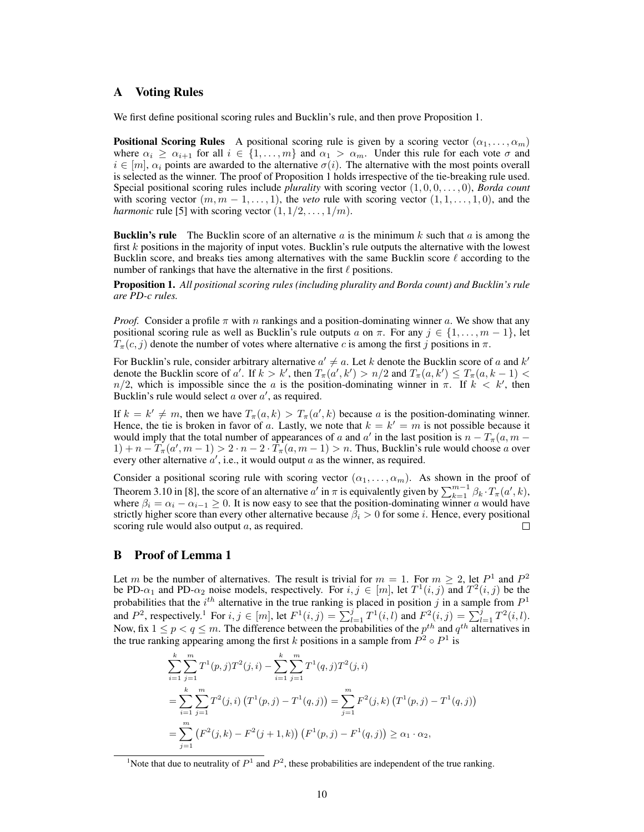### <span id="page-9-1"></span>A Voting Rules

We first define positional scoring rules and Bucklin's rule, and then prove Proposition [1.](#page-9-0)

**Positional Scoring Rules** A positional scoring rule is given by a scoring vector  $(\alpha_1, \dots, \alpha_m)$ where  $\alpha_i \geq \alpha_{i+1}$  for all  $i \in \{1, \ldots, m\}$  and  $\alpha_1 > \alpha_m$ . Under this rule for each vote  $\sigma$  and  $i \in [m], \alpha_i$  points are awarded to the alternative  $\sigma(i)$ . The alternative with the most points overall is selected as the winner. The proof of Proposition [1](#page-9-0) holds irrespective of the tie-breaking rule used. Special positional scoring rules include *plurality* with scoring vector (1, 0, 0, . . . , 0), *Borda count* with scoring vector  $(m, m - 1, \ldots, 1)$ , the *veto* rule with scoring vector  $(1, 1, \ldots, 1, 0)$ , and the *harmonic* rule [\[5\]](#page-8-23) with scoring vector  $(1, 1/2, \ldots, 1/m)$ .

**Bucklin's rule** The Bucklin score of an alternative a is the minimum k such that a is among the first k positions in the majority of input votes. Bucklin's rule outputs the alternative with the lowest Bucklin score, and breaks ties among alternatives with the same Bucklin score  $\ell$  according to the number of rankings that have the alternative in the first  $\ell$  positions.

<span id="page-9-0"></span>Proposition 1. *All positional scoring rules (including plurality and Borda count) and Bucklin's rule are PD-c rules.*

*Proof.* Consider a profile  $\pi$  with n rankings and a position-dominating winner a. We show that any positional scoring rule as well as Bucklin's rule outputs a on  $\pi$ . For any  $j \in \{1, \ldots, m-1\}$ , let  $T_{\pi}(c, j)$  denote the number of votes where alternative c is among the first j positions in  $\pi$ .

For Bucklin's rule, consider arbitrary alternative  $a' \neq a$ . Let k denote the Bucklin score of a and k' denote the Bucklin score of a'. If  $k > k'$ , then  $T_{\pi}(a', k') > n/2$  and  $T_{\pi}(a, k') \leq T_{\pi}(a, k-1)$  $n/2$ , which is impossible since the a is the position-dominating winner in  $\pi$ . If  $k < k'$ , then Bucklin's rule would select  $a$  over  $a'$ , as required.

If  $k = k' \neq m$ , then we have  $T_{\pi}(a, k) > T_{\pi}(a', k)$  because a is the position-dominating winner. Hence, the tie is broken in favor of a. Lastly, we note that  $k = k' = m$  is not possible because it would imply that the total number of appearances of a and a' in the last position is  $n - T_{\pi}(a, m - a)$  $1) + n - \overline{T_{\pi}}(a', m-1) > 2 \cdot n - 2 \cdot \overline{T_{\pi}}(a, m-1) > n$ . Thus, Bucklin's rule would choose a over every other alternative  $a'$ , i.e., it would output  $a$  as the winner, as required.

Consider a positional scoring rule with scoring vector  $(\alpha_1, \dots, \alpha_m)$ . As shown in the proof of Theorem 3.10 in [\[8\]](#page-8-5), the score of an alternative  $a'$  in  $\pi$  is equivalently given by  $\sum_{k=1}^{m-1} \beta_k \cdot T_{\pi}(a',k)$ , where  $\beta_i = \alpha_i - \alpha_{i-1} \geq 0$ . It is now easy to see that the position-dominating winner a would have strictly higher score than every other alternative because  $\beta_i > 0$  for some *i*. Hence, every positional scoring rule would also output a, as required. □

#### <span id="page-9-2"></span>B Proof of Lemma [1](#page-4-1)

Let m be the number of alternatives. The result is trivial for  $m = 1$ . For  $m \geq 2$ , let  $P<sup>1</sup>$  and  $P<sup>2</sup>$ be PD- $\alpha_1$  and PD- $\alpha_2$  noise models, respectively. For  $i, j \in [m]$ , let  $T^1(i,j)$  and  $T^2(i,j)$  be the probabilities that the  $i^{th}$  alternative in the true ranking is placed in position j in a sample from  $P<sup>1</sup>$ and  $P^2$ , respectively.<sup>[1](#page-9-3)</sup> For  $i, j \in [m]$ , let  $F^1(i, j) = \sum_{l=1}^j T^1(i, l)$  and  $F^2(i, j) = \sum_{l=1}^j T^2(i, l)$ . Now, fix  $1 \le p < q \le m$ . The difference between the probabilities of the  $p^{th}$  and  $q^{th}$  alternatives in the true ranking appearing among the first k positions in a sample from  $P^2 \circ P^1$  is

$$
\sum_{i=1}^{k} \sum_{j=1}^{m} T^{1}(p, j) T^{2}(j, i) - \sum_{i=1}^{k} \sum_{j=1}^{m} T^{1}(q, j) T^{2}(j, i)
$$
  
= 
$$
\sum_{i=1}^{k} \sum_{j=1}^{m} T^{2}(j, i) (T^{1}(p, j) - T^{1}(q, j)) = \sum_{j=1}^{m} F^{2}(j, k) (T^{1}(p, j) - T^{1}(q, j))
$$
  
= 
$$
\sum_{j=1}^{m} (F^{2}(j, k) - F^{2}(j + 1, k)) (F^{1}(p, j) - F^{1}(q, j)) \ge \alpha_{1} \cdot \alpha_{2},
$$

<span id="page-9-3"></span><sup>&</sup>lt;sup>1</sup>Note that due to neutrality of  $P<sup>1</sup>$  and  $P<sup>2</sup>$ , these probabilities are independent of the true ranking.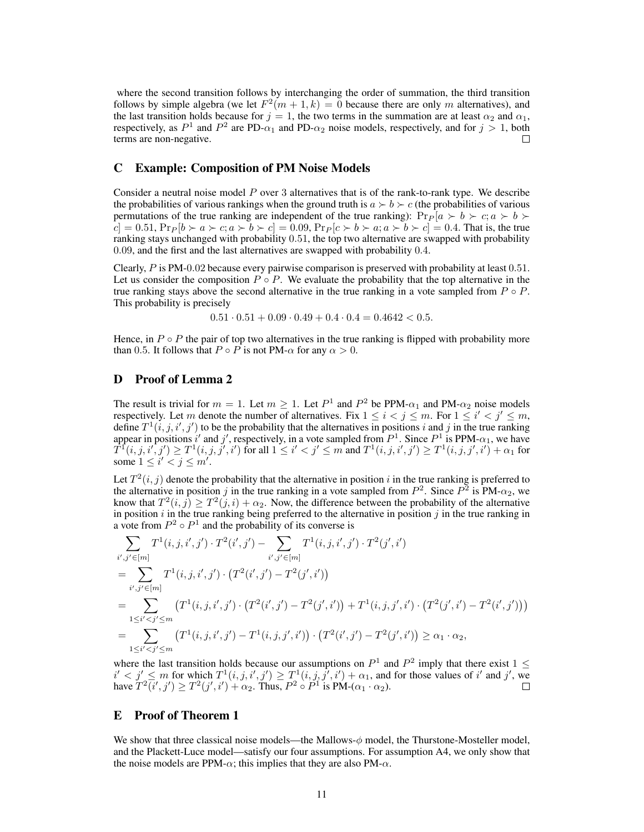where the second transition follows by interchanging the order of summation, the third transition follows by simple algebra (we let  $F^2(m+1,k) = 0$  because there are only m alternatives), and the last transition holds because for  $j = 1$ , the two terms in the summation are at least  $\alpha_2$  and  $\alpha_1$ , respectively, as  $P^1$  and  $P^2$  are PD- $\alpha_1$  and PD- $\alpha_2$  noise models, respectively, and for  $j > 1$ , both terms are non-negative.

#### <span id="page-10-0"></span>C Example: Composition of PM Noise Models

Consider a neutral noise model  $P$  over 3 alternatives that is of the rank-to-rank type. We describe the probabilities of various rankings when the ground truth is  $a \succ b \succ c$  (the probabilities of various permutations of the true ranking are independent of the true ranking):  $Pr_P [a \succ b \succ c; a \succ b \succ$  $c = 0.51$ ,  $Pr_P[b \succ a \succ c; a \succ b \succ c] = 0.09$ ,  $Pr_P[c \succ b \succ a; a \succ b \succ c] = 0.4$ . That is, the true ranking stays unchanged with probability 0.51, the top two alternative are swapped with probability 0.09, and the first and the last alternatives are swapped with probability 0.4.

Clearly, P is PM-0.02 because every pairwise comparison is preserved with probability at least 0.51. Let us consider the composition  $P \circ P$ . We evaluate the probability that the top alternative in the true ranking stays above the second alternative in the true ranking in a vote sampled from  $P \circ P$ . This probability is precisely

$$
0.51 \cdot 0.51 + 0.09 \cdot 0.49 + 0.4 \cdot 0.4 = 0.4642 < 0.5.
$$

Hence, in  $P \circ P$  the pair of top two alternatives in the true ranking is flipped with probability more than 0.5. It follows that  $P \circ P$  is not PM- $\alpha$  for any  $\alpha > 0$ .

#### <span id="page-10-1"></span>D Proof of Lemma [2](#page-4-2)

The result is trivial for  $m = 1$ . Let  $m \ge 1$ . Let  $P^1$  and  $P^2$  be PPM- $\alpha_1$  and PM- $\alpha_2$  noise models respectively. Let m denote the number of alternatives. Fix  $1 \le i < j \le m$ . For  $1 \le i' < j' \le m$ , define  $T^1(i, j, i', j')$  to be the probability that the alternatives in positions i and j in the true ranking appear in positions i' and j', respectively, in a vote sampled from  $P^1$ . Since  $P^1$  is PPM- $\alpha_1$ , we have  $T^{\bar{1}}(i,j,i',j')\geq T^1(i,j,j',i')$  for all  $1\leq i'< j'\leq m$  and  $T^1(i,j,i',j')\geq T^1(i,j,j',i')+\alpha_1$  for some  $1 \leq i' < j \leq m'$ .

Let  $T^2(i, j)$  denote the probability that the alternative in position i in the true ranking is preferred to the alternative in position j in the true ranking in a vote sampled from  $P^2$ . Since  $P^2$  is  $PM-\alpha_2$ , we know that  $T^2(i, j) \geq T^2(j, i) + \alpha_2$ . Now, the difference between the probability of the alternative in position  $i$  in the true ranking being preferred to the alternative in position  $j$  in the true ranking in a vote from  $P^2 \circ P^1$  and the probability of its converse is

$$
\sum_{i',j'\in[m]} T^1(i,j,i',j')\cdot T^2(i',j') - \sum_{i',j'\in[m]} T^1(i,j,i',j')\cdot T^2(j',i')
$$
\n
$$
= \sum_{i',j'\in[m]} T^1(i,j,i',j')\cdot (T^2(i',j') - T^2(j',i'))
$$
\n
$$
= \sum_{1\leq i'\n
$$
= \sum_{1\leq i'
$$
$$

where the last transition holds because our assumptions on  $P^1$  and  $P^2$  imply that there exist  $1 \leq$  $i' < j' \le m$  for which  $T^1(i, j, i', j') \ge T^1(i, j, j', i') + \alpha_1$ , and for those values of i' and j', we have  $T^2(i',j') \geq T^2(j',i') + \alpha_2$ . Thus,  $P^2 \circ P^1$  is  $PM-(\alpha_1 \cdot \alpha_2)$ .

#### <span id="page-10-2"></span>E Proof of Theorem [1](#page-5-1)

We show that three classical noise models—the Mallows-φ model, the Thurstone-Mosteller model, and the Plackett-Luce model—satisfy our four assumptions. For assumption A4, we only show that the noise models are PPM- $\alpha$ ; this implies that they are also PM- $\alpha$ .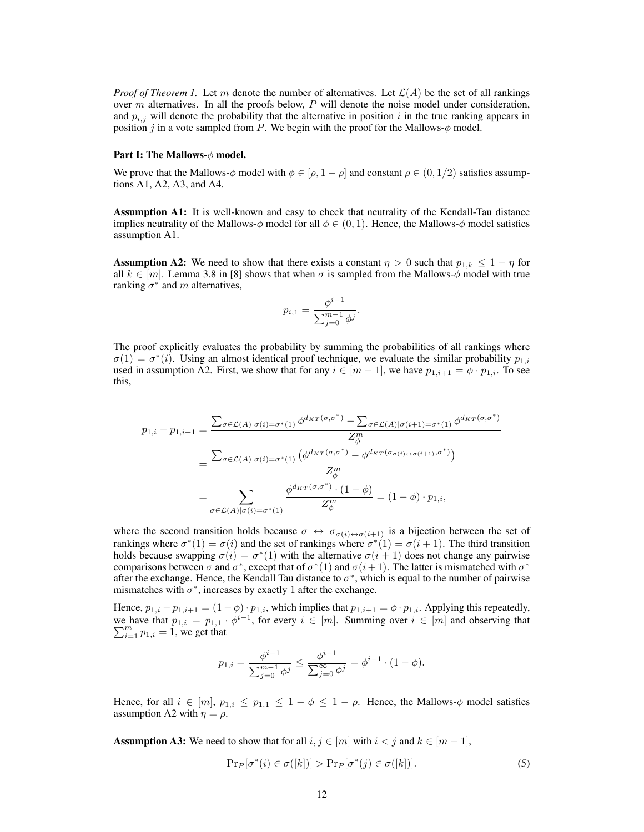*Proof of Theorem [1.](#page-5-1)* Let m denote the number of alternatives. Let  $\mathcal{L}(A)$  be the set of all rankings over  $m$  alternatives. In all the proofs below,  $P$  will denote the noise model under consideration, and  $p_{i,j}$  will denote the probability that the alternative in position i in the true ranking appears in position j in a vote sampled from P. We begin with the proof for the Mallows- $\phi$  model.

#### Part I: The Mallows- $\phi$  model.

We prove that the Mallows- $\phi$  model with  $\phi \in [\rho, 1 - \rho]$  and constant  $\rho \in (0, 1/2)$  satisfies assumptions A1, A2, A3, and A4.

Assumption A1: It is well-known and easy to check that neutrality of the Kendall-Tau distance implies neutrality of the Mallows- $\phi$  model for all  $\phi \in (0, 1)$ . Hence, the Mallows- $\phi$  model satisfies assumption A1.

**Assumption A2:** We need to show that there exists a constant  $\eta > 0$  such that  $p_{1,k} \leq 1 - \eta$  for all  $k \in [m]$ . Lemma 3.8 in [\[8\]](#page-8-5) shows that when  $\sigma$  is sampled from the Mallows- $\phi$  model with true ranking  $\sigma^*$  and m alternatives,

$$
p_{i,1} = \frac{\phi^{i-1}}{\sum_{j=0}^{m-1} \phi^j}.
$$

The proof explicitly evaluates the probability by summing the probabilities of all rankings where  $\sigma(1) = \sigma^*(i)$ . Using an almost identical proof technique, we evaluate the similar probability  $p_{1,i}$ used in assumption A2. First, we show that for any  $i \in [m-1]$ , we have  $p_{1,i+1} = \phi \cdot p_{1,i}$ . To see this,

$$
p_{1,i} - p_{1,i+1} = \frac{\sum_{\sigma \in \mathcal{L}(A)|\sigma(i) = \sigma^*(1)} \phi^{d_{KT}(\sigma,\sigma^*)} - \sum_{\sigma \in \mathcal{L}(A)|\sigma(i+1) = \sigma^*(1)} \phi^{d_{KT}(\sigma,\sigma^*)}}{Z_{\phi}^m}
$$

$$
= \frac{\sum_{\sigma \in \mathcal{L}(A)|\sigma(i) = \sigma^*(1)} \left(\phi^{d_{KT}(\sigma,\sigma^*)} - \phi^{d_{KT}(\sigma_{\sigma(i) \leftrightarrow \sigma(i+1)},\sigma^*)}\right)}{Z_{\phi}^m}
$$

$$
= \sum_{\sigma \in \mathcal{L}(A)|\sigma(i) = \sigma^*(1)} \frac{\phi^{d_{KT}(\sigma,\sigma^*)} \cdot (1-\phi)}{Z_{\phi}^m} = (1-\phi) \cdot p_{1,i},
$$

where the second transition holds because  $\sigma \leftrightarrow \sigma_{\sigma(i) \leftrightarrow \sigma(i+1)}$  is a bijection between the set of rankings where  $\sigma^*(1) = \sigma(i)$  and the set of rankings where  $\sigma^*(1) = \sigma(i+1)$ . The third transition holds because swapping  $\sigma(i) = \sigma^*(1)$  with the alternative  $\sigma(i + 1)$  does not change any pairwise comparisons between  $\sigma$  and  $\sigma^*$ , except that of  $\sigma^*(1)$  and  $\sigma(i+1)$ . The latter is mismatched with  $\sigma^*$ after the exchange. Hence, the Kendall Tau distance to  $\sigma^*$ , which is equal to the number of pairwise mismatches with  $\sigma^*$ , increases by exactly 1 after the exchange.

Hence,  $p_{1,i} - p_{1,i+1} = (1 - \phi) \cdot p_{1,i}$ , which implies that  $p_{1,i+1} = \phi \cdot p_{1,i}$ . Applying this repeatedly, we have that  $p_{1,i} = p_{1,1} \cdot \phi^{i-1}$ , for every  $i \in [m]$ . Summing over  $i \in [m]$  and observing that  $\sum_{i=1}^{m} p_{1,i} = 1$ , we get that

$$
p_{1,i} = \frac{\phi^{i-1}}{\sum_{j=0}^{m-1} \phi^j} \le \frac{\phi^{i-1}}{\sum_{j=0}^{\infty} \phi^j} = \phi^{i-1} \cdot (1 - \phi).
$$

Hence, for all  $i \in [m], p_{1,i} \leq p_{1,1} \leq 1-\phi \leq 1-\rho$ . Hence, the Mallows- $\phi$  model satisfies assumption A2 with  $\eta = \rho$ .

**Assumption A3:** We need to show that for all  $i, j \in [m]$  with  $i < j$  and  $k \in [m-1]$ ,

$$
\Pr_P[\sigma^*(i) \in \sigma([k])] > \Pr_P[\sigma^*(j) \in \sigma([k])].\tag{5}
$$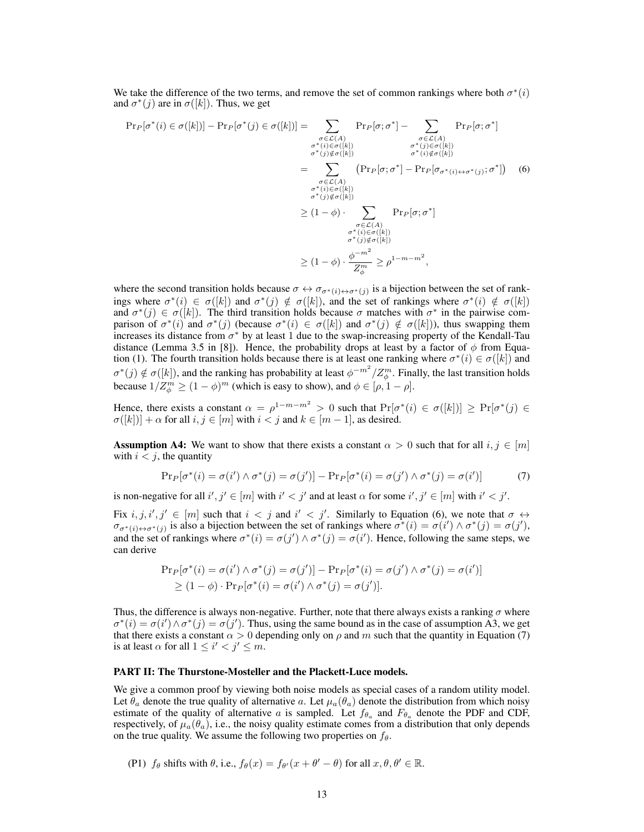We take the difference of the two terms, and remove the set of common rankings where both  $\sigma^*(i)$ and  $\sigma^*(j)$  are in  $\sigma([k])$ . Thus, we get

<span id="page-12-0"></span>
$$
\Pr_P[\sigma^*(i) \in \sigma([k])] - \Pr_P[\sigma^*(j) \in \sigma([k])] = \sum_{\substack{\sigma \in \mathcal{L}(A) \\ \sigma^*(i) \in \sigma([k]) \\ \sigma^*(j) \notin \sigma([k])}} \Pr_P[\sigma; \sigma^*] - \sum_{\substack{\sigma \in \mathcal{L}(A) \\ \sigma^*(j) \in \sigma([k]) \\ \sigma^*(j) \notin \sigma([k])}} \Pr_P[\sigma; \sigma^*] - \Pr_P[\sigma_{\sigma^*(i) \leftrightarrow \sigma^*(j)}; \sigma^*]) \quad (6)
$$
\n
$$
= \sum_{\substack{\sigma \in \mathcal{L}(A) \\ \sigma^*(i) \in \sigma([k]) \\ \sigma^*(j) \notin \sigma([k])}} \Pr_P[\sigma; \sigma^*] - \Pr_P[\sigma_{\sigma^*(i) \leftrightarrow \sigma^*(j)}; \sigma^*]) \quad (6)
$$
\n
$$
\geq (1 - \phi) \cdot \sum_{\substack{\sigma \in \mathcal{L}(A) \\ \sigma^*(i) \in \sigma([k]) \\ \sigma^*(j) \notin \sigma([k])}} \Pr_P[\sigma; \sigma^*]
$$
\n
$$
\geq (1 - \phi) \cdot \frac{\phi^{-m^2}}{Z_{\phi}^m} \geq \rho^{1 - m - m^2},
$$

where the second transition holds because  $\sigma \leftrightarrow \sigma_{\sigma^*(i) \leftrightarrow \sigma^*(j)}$  is a bijection between the set of rankings where  $\sigma^*(i) \in \sigma([k])$  and  $\sigma^*(j) \notin \sigma([k])$ , and the set of rankings where  $\sigma^*(i) \notin \sigma([k])$ and  $\sigma^*(j) \in \sigma([k])$ . The third transition holds because  $\sigma$  matches with  $\sigma^*$  in the pairwise comparison of  $\sigma^*(i)$  and  $\sigma^*(j)$  (because  $\sigma^*(i) \in \sigma([k])$  and  $\sigma^*(j) \notin \sigma([k])$ ), thus swapping them increases its distance from  $\sigma^*$  by at least 1 due to the swap-increasing property of the Kendall-Tau distance (Lemma 3.5 in [\[8\]](#page-8-5)). Hence, the probability drops at least by a factor of  $\phi$  from Equa-tion [\(1\)](#page-2-1). The fourth transition holds because there is at least one ranking where  $\sigma^*(i) \in \sigma([k])$  and  $\sigma^*(j) \notin \sigma([k])$ , and the ranking has probability at least  $\phi^{-m^2}/Z_{\phi}^m$ . Finally, the last transition holds because  $1/Z_{\phi}^{m} \ge (1 - \phi)^{m}$  (which is easy to show), and  $\phi \in [\rho, 1 - \rho]$ .

Hence, there exists a constant  $\alpha = \rho^{1-m-m^2} > 0$  such that  $Pr[\sigma^*(i) \in \sigma([k])] \geq Pr[\sigma^*(j) \in \sigma([k])]$  $\sigma([k])$  +  $\alpha$  for all  $i, j \in [m]$  with  $i < j$  and  $k \in [m-1]$ , as desired.

**Assumption A4:** We want to show that there exists a constant  $\alpha > 0$  such that for all  $i, j \in [m]$ with  $i < j$ , the quantity

<span id="page-12-1"></span>
$$
\Pr_P[\sigma^*(i) = \sigma(i') \land \sigma^*(j) = \sigma(j')] - \Pr_P[\sigma^*(i) = \sigma(j') \land \sigma^*(j) = \sigma(i')]
$$
(7)

is non-negative for all  $i', j' \in [m]$  with  $i' < j'$  and at least  $\alpha$  for some  $i', j' \in [m]$  with  $i' < j'$ .

Fix  $i, j, i', j' \in [m]$  such that  $i < j$  and  $i' < j'$ . Similarly to Equation [\(6\)](#page-12-0), we note that  $\sigma \leftrightarrow$  $\sigma_{\sigma^*(i) \leftrightarrow \sigma^*(j)}$  is also a bijection between the set of rankings where  $\sigma^*(i) = \sigma(i') \wedge \sigma^*(j) = \sigma(j')$ , and the set of rankings where  $\sigma^*(i) = \sigma(j') \wedge \sigma^*(j) = \sigma(i')$ . Hence, following the same steps, we can derive

$$
\Pr_P[\sigma^*(i) = \sigma(i') \land \sigma^*(j) = \sigma(j')] - \Pr_P[\sigma^*(i) = \sigma(j') \land \sigma^*(j) = \sigma(i')]
$$
  
\n
$$
\geq (1 - \phi) \cdot \Pr_P[\sigma^*(i) = \sigma(i') \land \sigma^*(j) = \sigma(j')].
$$

Thus, the difference is always non-negative. Further, note that there always exists a ranking  $\sigma$  where  $\sigma^*(i) = \sigma(i') \wedge \sigma^*(j) = \sigma(j')$ . Thus, using the same bound as in the case of assumption A3, we get that there exists a constant  $\alpha > 0$  depending only on  $\rho$  and m such that the quantity in Equation [\(7\)](#page-12-1) is at least  $\alpha$  for all  $1 \leq i' < j' \leq m$ .

#### PART II: The Thurstone-Mosteller and the Plackett-Luce models.

We give a common proof by viewing both noise models as special cases of a random utility model. Let  $\theta_a$  denote the true quality of alternative a. Let  $\mu_a(\theta_a)$  denote the distribution from which noisy estimate of the quality of alternative a is sampled. Let  $f_{\theta_a}$  and  $F_{\theta_a}$  denote the PDF and CDF, respectively, of  $\mu_a(\theta_a)$ , i.e., the noisy quality estimate comes from a distribution that only depends on the true quality. We assume the following two properties on  $f_\theta$ .

(P1) 
$$
f_{\theta}
$$
 shifts with  $\theta$ , i.e.,  $f_{\theta}(x) = f_{\theta'}(x + \theta' - \theta)$  for all  $x, \theta, \theta' \in \mathbb{R}$ .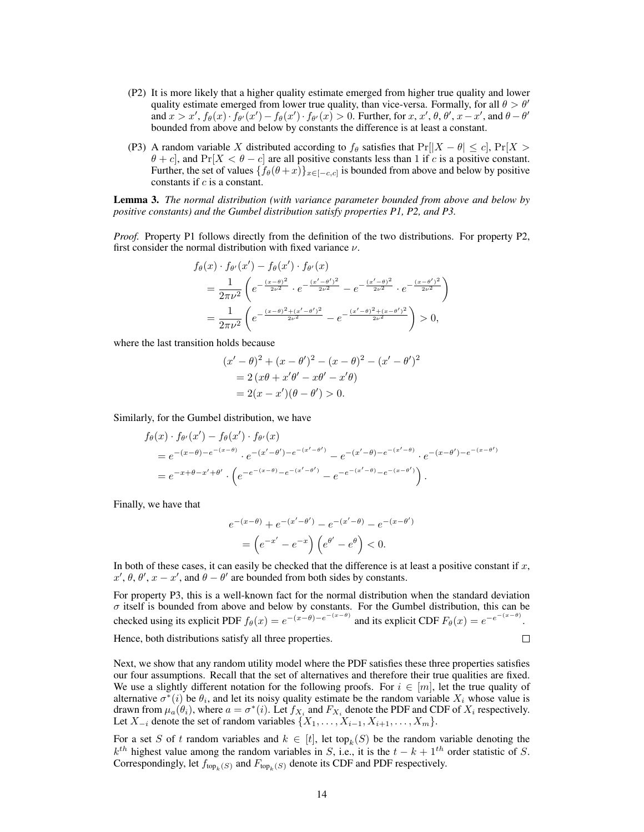- (P2) It is more likely that a higher quality estimate emerged from higher true quality and lower quality estimate emerged from lower true quality, than vice-versa. Formally, for all  $\theta > \theta'$ and  $x > x'$ ,  $f_{\theta}(x) \cdot f_{\theta'}(x') - f_{\theta}(x') \cdot f_{\theta'}(x) > 0$ . Further, for  $x, x', \theta, \theta', x - x'$ , and  $\theta - \theta'$ bounded from above and below by constants the difference is at least a constant.
- (P3) A random variable X distributed according to  $f_\theta$  satisfies that  $Pr[|X \theta| \le c]$ ,  $Pr[X >$  $\theta + c$ , and Pr[X <  $\theta - c$ ] are all positive constants less than 1 if c is a positive constant. Further, the set of values  $\{f_{\theta}(\theta + x)\}_{x \in [-c,c]}$  is bounded from above and below by positive constants if c is a constant.

Lemma 3. *The normal distribution (with variance parameter bounded from above and below by positive constants) and the Gumbel distribution satisfy properties P1, P2, and P3.*

*Proof.* Property P1 follows directly from the definition of the two distributions. For property P2, first consider the normal distribution with fixed variance  $\nu$ .

$$
f_{\theta}(x) \cdot f_{\theta'}(x') - f_{\theta}(x') \cdot f_{\theta'}(x)
$$
  
=  $\frac{1}{2\pi\nu^2} \left( e^{-\frac{(x-\theta)^2}{2\nu^2}} \cdot e^{-\frac{(x'-\theta')^2}{2\nu^2}} - e^{-\frac{(x'-\theta)^2}{2\nu^2}} \cdot e^{-\frac{(x-\theta')^2}{2\nu^2}} \right)$   
=  $\frac{1}{2\pi\nu^2} \left( e^{-\frac{(x-\theta)^2 + (x'-\theta')^2}{2\nu^2}} - e^{-\frac{(x'-\theta)^2 + (x-\theta')^2}{2\nu^2}} \right) > 0,$ 

where the last transition holds because

$$
(x'-\theta)^2 + (x - \theta')^2 - (x - \theta)^2 - (x' - \theta')^2
$$
  
= 2 (x\theta + x'\theta' - x\theta' - x'\theta)  
= 2(x - x')(\theta - \theta') > 0.

Similarly, for the Gumbel distribution, we have

$$
f_{\theta}(x) \cdot f_{\theta'}(x') - f_{\theta}(x') \cdot f_{\theta'}(x)
$$
  
=  $e^{-(x-\theta)-e^{-(x-\theta)}} \cdot e^{-(x'-\theta')-e^{-(x'-\theta')}} - e^{-(x'-\theta)-e^{-(x'-\theta)}} \cdot e^{-(x-\theta')-e^{-(x-\theta')}}\n=  $e^{-x+\theta-x'+\theta'}$   $\cdot \left(e^{-e^{-(x-\theta)}-e^{-(x'-\theta')}} - e^{-e^{-(x'-\theta)}-e^{-(x-\theta')}}\right).$$ 

Finally, we have that

$$
e^{-(x-\theta)} + e^{-(x'-\theta')} - e^{-(x'-\theta)} - e^{-(x-\theta')}
$$

$$
= \left( e^{-x'} - e^{-x} \right) \left( e^{\theta'} - e^{\theta} \right) < 0.
$$

In both of these cases, it can easily be checked that the difference is at least a positive constant if  $x$ ,  $x', \theta, \theta', x - x'$ , and  $\theta - \theta'$  are bounded from both sides by constants.

For property P3, this is a well-known fact for the normal distribution when the standard deviation  $\sigma$  itself is bounded from above and below by constants. For the Gumbel distribution, this can be checked using its explicit PDF  $f_{\theta}(x) = e^{-(x-\theta)-e^{-(x-\theta)}}$  and its explicit CDF  $F_{\theta}(x) = e^{-e^{-(x-\theta)}}$ .  $\Box$ 

Hence, both distributions satisfy all three properties.

Next, we show that any random utility model where the PDF satisfies these three properties satisfies our four assumptions. Recall that the set of alternatives and therefore their true qualities are fixed. We use a slightly different notation for the following proofs. For  $i \in [m]$ , let the true quality of alternative  $\sigma^*(i)$  be  $\theta_i$ , and let its noisy quality estimate be the random variable  $X_i$  whose value is drawn from  $\mu_a(\theta_i)$ , where  $a = \sigma^*(i)$ . Let  $f_{X_i}$  and  $F_{X_i}$  denote the PDF and CDF of  $X_i$  respectively. Let  $X_{-i}$  denote the set of random variables  $\{X_1, \ldots, X_{i-1}, X_{i+1}, \ldots, X_m\}$ .

For a set S of t random variables and  $k \in [t]$ , let to  $p_k(S)$  be the random variable denoting the  $k^{th}$  highest value among the random variables in S, i.e., it is the  $t - k + 1^{th}$  order statistic of S. Correspondingly, let  $f_{\text{top}_k(S)}$  and  $F_{\text{top}_k(S)}$  denote its CDF and PDF respectively.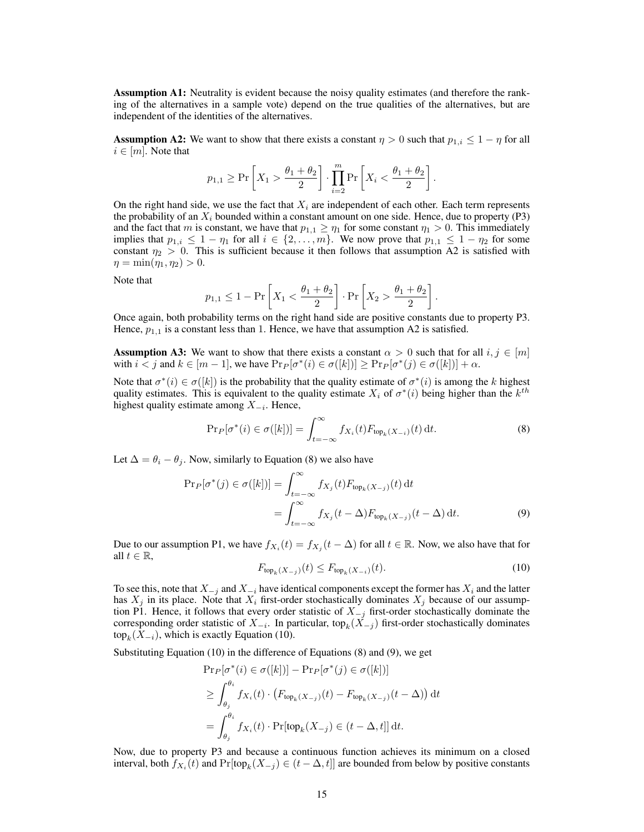Assumption A1: Neutrality is evident because the noisy quality estimates (and therefore the ranking of the alternatives in a sample vote) depend on the true qualities of the alternatives, but are independent of the identities of the alternatives.

**Assumption A2:** We want to show that there exists a constant  $\eta > 0$  such that  $p_{1,i} \leq 1 - \eta$  for all  $i \in [m]$ . Note that

$$
p_{1,1} \geq \Pr\left[X_1 > \frac{\theta_1 + \theta_2}{2}\right] \cdot \prod_{i=2}^m \Pr\left[X_i < \frac{\theta_1 + \theta_2}{2}\right].
$$

On the right hand side, we use the fact that  $X_i$  are independent of each other. Each term represents the probability of an  $X_i$  bounded within a constant amount on one side. Hence, due to property (P3) and the fact that m is constant, we have that  $p_{1,1} \geq \eta_1$  for some constant  $\eta_1 > 0$ . This immediately implies that  $p_{1,i} \leq 1 - \eta_1$  for all  $i \in \{2, \ldots, m\}$ . We now prove that  $p_{1,1} \leq 1 - \eta_2$  for some constant  $\eta_2 > 0$ . This is sufficient because it then follows that assumption A2 is satisfied with  $\eta = \min(\eta_1, \eta_2) > 0.$ 

Note that

$$
p_{1,1} \le 1 - \Pr\left[X_1 < \frac{\theta_1 + \theta_2}{2}\right] \cdot \Pr\left[X_2 > \frac{\theta_1 + \theta_2}{2}\right].
$$

Once again, both probability terms on the right hand side are positive constants due to property P3. Hence,  $p_{1,1}$  is a constant less than 1. Hence, we have that assumption A2 is satisfied.

**Assumption A3:** We want to show that there exists a constant  $\alpha > 0$  such that for all  $i, j \in [m]$ with  $i \leq j$  and  $k \in [m-1]$ , we have  $\Pr_P[\sigma^*(i) \in \sigma([k])] \geq \Pr_P[\sigma^*(j) \in \sigma([k])] + \alpha$ .

Note that  $\sigma^*(i) \in \sigma([k])$  is the probability that the quality estimate of  $\sigma^*(i)$  is among the k highest quality estimates. This is equivalent to the quality estimate  $X_i$  of  $\sigma^*(i)$  being higher than the  $k^{th}$ highest quality estimate among  $X_{-i}$ . Hence,

<span id="page-14-0"></span>
$$
\Pr_P[\sigma^*(i) \in \sigma([k])] = \int_{t=-\infty}^{\infty} f_{X_i}(t) F_{\text{top}_k(X_{-i})}(t) dt.
$$
 (8)

Let  $\Delta = \theta_i - \theta_j$ . Now, similarly to Equation [\(8\)](#page-14-0) we also have

$$
\Pr_P[\sigma^*(j) \in \sigma([k])] = \int_{t=-\infty}^{\infty} f_{X_j}(t) F_{\text{top}_k(X_{-j})}(t) dt
$$
  
= 
$$
\int_{t=-\infty}^{\infty} f_{X_j}(t - \Delta) F_{\text{top}_k(X_{-j})}(t - \Delta) dt.
$$
 (9)

<span id="page-14-1"></span>Due to our assumption P1, we have  $f_{X_i}(t) = f_{X_j}(t - \Delta)$  for all  $t \in \mathbb{R}$ . Now, we also have that for all  $t \in \mathbb{R}$ ,

<span id="page-14-2"></span>
$$
F_{\text{top}_k(X_{-j})}(t) \le F_{\text{top}_k(X_{-i})}(t). \tag{10}
$$

To see this, note that  $X_{-j}$  and  $X_{-i}$  have identical components except the former has  $X_i$  and the latter has  $X_j$  in its place. Note that  $X_i$  first-order stochastically dominates  $X_j$  because of our assumption P1. Hence, it follows that every order statistic of  $X_{-j}$  first-order stochastically dominate the corresponding order statistic of  $X_{-i}$ . In particular, top $_k(X_{-j})$  first-order stochastically dominates  $\text{top}_k(X_{-i})$ , which is exactly Equation [\(10\)](#page-14-1).

Substituting Equation [\(10\)](#page-14-1) in the difference of Equations [\(8\)](#page-14-0) and [\(9\)](#page-14-2), we get

$$
\Pr_P[\sigma^*(i) \in \sigma([k])] - \Pr_P[\sigma^*(j) \in \sigma([k])]
$$
  
\n
$$
\geq \int_{\theta_j}^{\theta_i} f_{X_i}(t) \cdot (F_{\text{top}_k(X_{-j})}(t) - F_{\text{top}_k(X_{-j})}(t - \Delta)) dt
$$
  
\n
$$
= \int_{\theta_j}^{\theta_i} f_{X_i}(t) \cdot \Pr[\text{top}_k(X_{-j}) \in (t - \Delta, t]] dt.
$$

Now, due to property P3 and because a continuous function achieves its minimum on a closed interval, both  $f_{X_i}(t)$  and  $Pr[\text{top}_k(X_{-j}) \in (t - \Delta, t]]$  are bounded from below by positive constants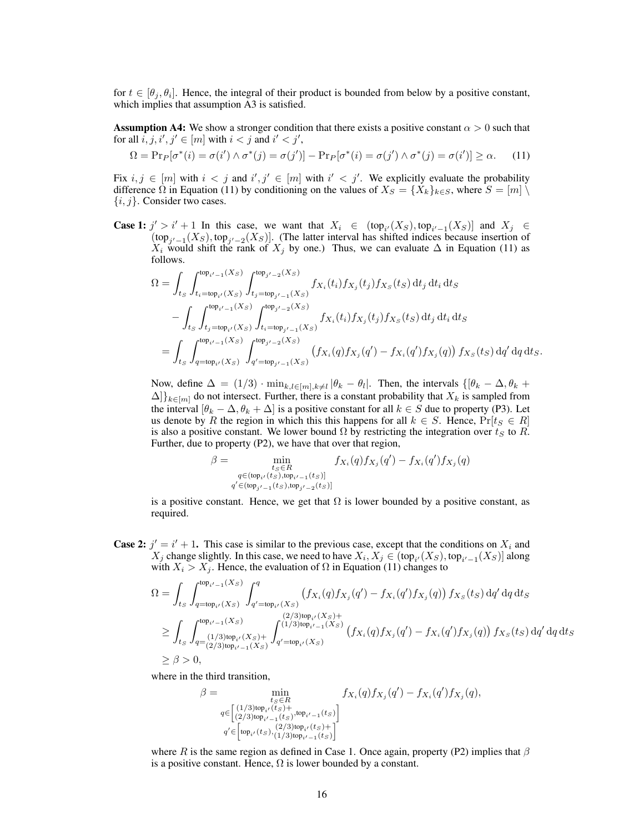for  $t \in [\theta_j, \theta_i]$ . Hence, the integral of their product is bounded from below by a positive constant, which implies that assumption A3 is satisfied.

**Assumption A4:** We show a stronger condition that there exists a positive constant  $\alpha > 0$  such that for all  $\overline{i}$ ,  $j$ ,  $i'$ ,  $j' \in [m]$  with  $i < j$  and  $i' < j'$ ,

<span id="page-15-0"></span>
$$
\Omega = \Pr_P[\sigma^*(i) = \sigma(i') \land \sigma^*(j) = \sigma(j')] - \Pr_P[\sigma^*(i) = \sigma(j') \land \sigma^*(j) = \sigma(i')] \ge \alpha.
$$
 (11)

Fix  $i, j \in [m]$  with  $i < j$  and  $i', j' \in [m]$  with  $i' < j'$ . We explicitly evaluate the probability difference  $\Omega$  in Equation [\(11\)](#page-15-0) by conditioning on the values of  $X_S = \{X_k\}_{k \in S}$ , where  $S = [m] \setminus \{X_k\}_{k \in S}$  $\{i, j\}$ . Consider two cases.

**Case 1:**  $j' > i' + 1$  In this case, we want that  $X_i \in (\text{top}_{i'}(X_s), \text{top}_{i'-1}(X_s))$  and  $X_j \in$  $(\text{top}_{j'-1}(X_s), \text{top}_{j'-2}(X_s)]$ . (The latter interval has shifted indices because insertion of  $X_i$  would shift the rank of  $X_j$  by one.) Thus, we can evaluate  $\Delta$  in Equation [\(11\)](#page-15-0) as follows.

$$
\Omega = \int_{t_S} \int_{t_i = \text{top}_{i'}(X_S)}^{\text{top}_{i'-1}(X_S)} \int_{t_j = \text{top}_{j'-1}(X_S)}^{\text{top}_{j'-2}(X_S)} f_{X_i}(t_i) f_{X_j}(t_j) f_{X_S}(t_S) dt_j dt_i dt_S \n- \int_{t_S} \int_{t_j = \text{top}_{i'}(X_S)}^{\text{top}_{i'-1}(X_S)} \int_{t_i = \text{top}_{j'-1}(X_S)}^{\text{top}_{j'-2}(X_S)} f_{X_i}(t_i) f_{X_j}(t_j) f_{X_S}(t_S) dt_j dt_i dt_S \n= \int_{t_S} \int_{q = \text{top}_{i'}(X_S)}^{\text{top}_{i'-1}(X_S)} \int_{q' = \text{top}_{j'-1}(X_S)}^{\text{top}_{j'-2}(X_S)} (f_{X_i}(q) f_{X_j}(q') - f_{X_i}(q') f_{X_j}(q)) f_{X_S}(t_S) dq' dq dt_S.
$$

Now, define  $\Delta = (1/3) \cdot \min_{k,l \in [m], k \neq l} |\theta_k - \theta_l|$ . Then, the intervals  $\{[\theta_k - \Delta, \theta_k + \Delta, \theta_k, \theta_l]\}$  $\Delta$ ] $\{k \in [m]}$  do not intersect. Further, there is a constant probability that  $X_k$  is sampled from the interval  $[\theta_k - \Delta, \theta_k + \Delta]$  is a positive constant for all  $k \in S$  due to property (P3). Let us denote by R the region in which this this happens for all  $k \in S$ . Hence,  $Pr[t_S \in R]$ is also a positive constant. We lower bound  $\Omega$  by restricting the integration over  $t_S$  to R. Further, due to property (P2), we have that over that region,

$$
\beta = \min_{\substack{t_S \in R \\ q \in (\text{top}_{i'}(t_S), \text{top}_{i'-1}(t_S)] \\ q' \in (\text{top}_{j'-1}(t_S), \text{top}_{j'-2}(t_S)]}} f_{X_i}(q) f_{X_j}(q') - f_{X_i}(q') f_{X_j}(q)
$$

is a positive constant. Hence, we get that  $\Omega$  is lower bounded by a positive constant, as required.

**Case 2:**  $j' = i' + 1$ . This case is similar to the previous case, except that the conditions on  $X_i$  and  $X_j$  change slightly. In this case, we need to have  $X_i, X_j \in (\text{top}_{i'}(X_S), \text{top}_{i'-1}(X_S)]$  along with  $X_i > X_j$ . Hence, the evaluation of  $\Omega$  in Equation [\(11\)](#page-15-0) changes to

$$
\Omega = \int_{t_S} \int_{q=\text{top}_{i'}(X_S)}^{\text{top}_{i'-1}(X_S)} \int_{q'=\text{top}_{i'}(X_S)}^q \left( f_{X_i}(q) f_{X_j}(q') - f_{X_i}(q') f_{X_j}(q) \right) f_{X_S}(t_S) \, dq' \, dq \, dt_S
$$
\n
$$
\geq \int_{t_S} \int_{q=\binom{1/3}{2}}^{\text{top}_{i'}(X_S)} \int_{q'=\text{top}_{i'}(X_S)}^{\binom{2/3}{3}\text{top}_{i'}(X_S)+} \int_{q'=\text{top}_{i'}(X_S)}^{\binom{2/3}{3}\text{top}_{i'-1}(X_S)} \left( f_{X_i}(q) f_{X_j}(q') - f_{X_i}(q') f_{X_j}(q) \right) f_{X_S}(t_S) \, dq' \, dq \, dt_S
$$
\n
$$
\geq \beta > 0,
$$

where in the third transition,

$$
\beta = \min_{\substack{t_S \in R \\ q \in \left[ \binom{1/3}{2} \text{top}_{i'}(ts) + \binom{1}{2} \text{top}_{i'}(ts) + \binom{1}{2} \text{top}_{i'}(ts) \right] \\ q' \in \left[ \text{top}_{i'}(ts), \binom{2/3}{1/3} \text{top}_{i'-1}(ts) \right] \\ q' \in \left[ \text{top}_{i'}(ts), \binom{2/3}{1/3} \text{top}_{i'-1}(ts) \right]}
$$

where R is the same region as defined in Case 1. Once again, property (P2) implies that  $\beta$ is a positive constant. Hence,  $\Omega$  is lower bounded by a constant.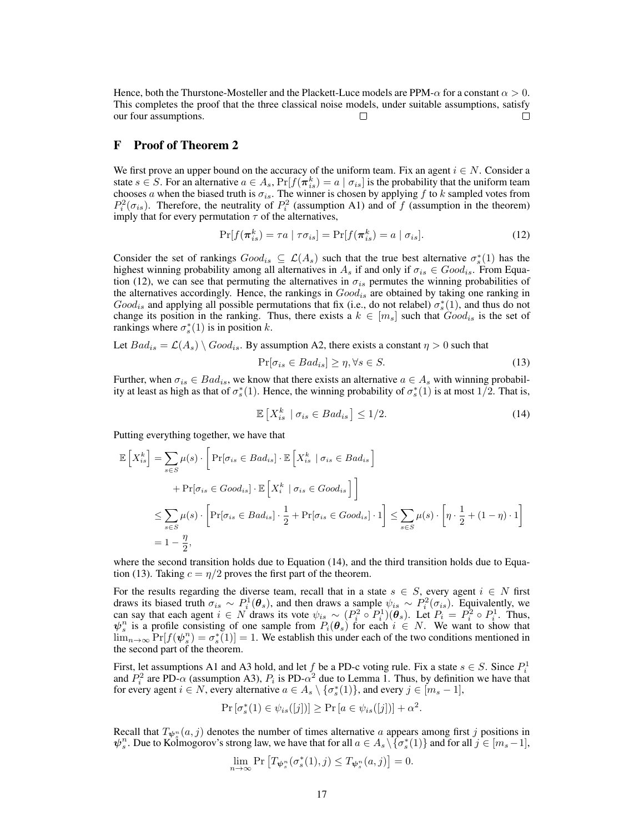Hence, both the Thurstone-Mosteller and the Plackett-Luce models are PPM- $\alpha$  for a constant  $\alpha > 0$ . This completes the proof that the three classical noise models, under suitable assumptions, satisfy our four assumptions.  $\Box$  $\Box$ 

#### <span id="page-16-0"></span>F Proof of Theorem [2](#page-5-0)

We first prove an upper bound on the accuracy of the uniform team. Fix an agent  $i \in N$ . Consider a state  $s \in S$ . For an alternative  $a \in A_s$ ,  $Pr[f(\pi_{is}^k) = a \mid \sigma_{is}]$  is the probability that the uniform team chooses a when the biased truth is  $\sigma_{is}$ . The winner is chosen by applying f to k sampled votes from  $P_i^2(\sigma_{is})$ . Therefore, the neutrality of  $P_i^2$  (assumption A1) and of f (assumption in the theorem) imply that for every permutation  $\tau$  of the alternatives,

<span id="page-16-1"></span>
$$
\Pr[f(\boldsymbol{\pi}_{is}^k) = \tau a \mid \tau \sigma_{is}] = \Pr[f(\boldsymbol{\pi}_{is}^k) = a \mid \sigma_{is}]. \tag{12}
$$

Consider the set of rankings  $Good_{is} \subseteq \mathcal{L}(A_s)$  such that the true best alternative  $\sigma_s^*(1)$  has the highest winning probability among all alternatives in  $A_s$  if and only if  $\sigma_{is} \in Good_{is}$ . From Equa-tion [\(12\)](#page-16-1), we can see that permuting the alternatives in  $\sigma_{is}$  permutes the winning probabilities of the alternatives accordingly. Hence, the rankings in  $Good<sub>is</sub>$  are obtained by taking one ranking in  $Good<sub>is</sub>$  and applying all possible permutations that fix (i.e., do not relabel)  $\sigma_s^*(1)$ , and thus do not change its position in the ranking. Thus, there exists a  $k \in [m_s]$  such that  $Good_{is}$  is the set of rankings where  $\sigma_s^*(1)$  is in position k.

Let  $Bad_{is} = \mathcal{L}(A_s) \setminus Good_{is}$ . By assumption A2, there exists a constant  $\eta > 0$  such that

<span id="page-16-3"></span>
$$
\Pr[\sigma_{is} \in Bad_{is}] \ge \eta, \forall s \in S. \tag{13}
$$

<span id="page-16-2"></span>Further, when  $\sigma_{is} \in Bad_{is}$ , we know that there exists an alternative  $a \in A_s$  with winning probability at least as high as that of  $\sigma_s^*(1)$ . Hence, the winning probability of  $\sigma_s^*(1)$  is at most  $1/2$ . That is,

$$
\mathbb{E}\left[X_{is}^k \mid \sigma_{is} \in Bad_{is}\right] \le 1/2. \tag{14}
$$

Putting everything together, we have that

$$
\mathbb{E}\left[X_{is}^{k}\right] = \sum_{s \in S} \mu(s) \cdot \left[\Pr[\sigma_{is} \in Bad_{is}] \cdot \mathbb{E}\left[X_{is}^{k} \mid \sigma_{is} \in Bad_{is}\right] \right]
$$
  
+ 
$$
\Pr[\sigma_{is} \in Good_{is}] \cdot \mathbb{E}\left[X_{i}^{k} \mid \sigma_{is} \in Good_{is}\right]\right]
$$
  

$$
\leq \sum_{s \in S} \mu(s) \cdot \left[\Pr[\sigma_{is} \in Bad_{is}] \cdot \frac{1}{2} + \Pr[\sigma_{is} \in Good_{is}] \cdot 1\right] \leq \sum_{s \in S} \mu(s) \cdot \left[\eta \cdot \frac{1}{2} + (1 - \eta) \cdot 1\right]
$$
  
= 
$$
1 - \frac{\eta}{2},
$$

where the second transition holds due to Equation [\(14\)](#page-16-2), and the third transition holds due to Equa-tion [\(13\)](#page-16-3). Taking  $c = \frac{\eta}{2}$  proves the first part of the theorem.

For the results regarding the diverse team, recall that in a state  $s \in S$ , every agent  $i \in N$  first draws its biased truth  $\sigma_{is} \sim P_i^1(\theta_s)$ , and then draws a sample  $\psi_{is} \sim P_i^2(\sigma_{is})$ . Equivalently, we can say that each agent  $i \in N$  draws its vote  $\psi_{is} \sim (P_i^2 \circ P_i^1)(\theta_s)$ . Let  $P_i = P_i^2 \circ P_i^1$ . Thus,  $\psi_s^n$  is a profile consisting of one sample from  $P_i(\theta_s)$  for each  $i \in N$ . We want to show that  $\lim_{n\to\infty} \Pr[f(\psi_s^n) = \sigma_s^*(1)] = 1$ . We establish this under each of the two conditions mentioned in the second part of the theorem.

First, let assumptions A1 and A3 hold, and let  $f$  be a PD-c voting rule. Fix a state  $s \in S$ . Since  $P_i^1$ and  $P_i^2$  are PD- $\alpha$  (assumption A3),  $P_i$  is PD- $\alpha^2$  due to Lemma [1.](#page-4-1) Thus, by definition we have that for every agent  $i \in N$ , every alternative  $a \in A_s \setminus \{\sigma_s^*(1)\}\)$ , and every  $j \in [m_s - 1]$ ,

$$
\Pr\left[\sigma_s^*(1) \in \psi_{is}([j])\right] \ge \Pr\left[a \in \psi_{is}([j])\right] + \alpha^2.
$$

Recall that  $T_{\psi_s^n}(a, j)$  denotes the number of times alternative a appears among first j positions in  $\psi_s^n$ . Due to Kolmogorov's strong law, we have that for all  $a \in A_s \setminus {\sigma_s^*(1)}$  and for all  $j \in [m_s-1]$ ,

$$
\lim_{n\to\infty} \Pr\left[T_{\boldsymbol{\psi}^n_s}(\sigma_s^*(1),j) \le T_{\boldsymbol{\psi}^n_s}(a,j)\right] = 0.
$$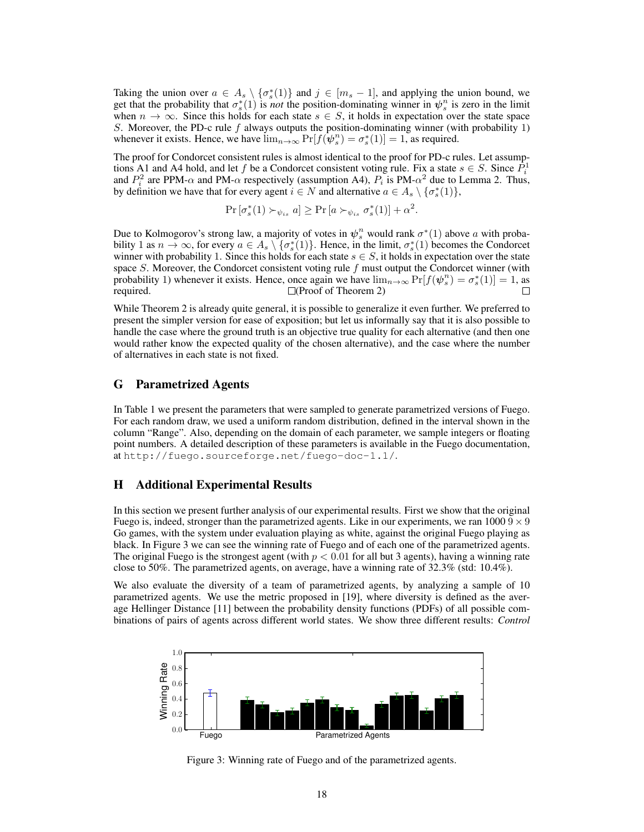Taking the union over  $a \in A_s \setminus {\{\sigma_s^*(1)\}}$  and  $j \in [m_s - 1]$ , and applying the union bound, we get that the probability that  $\sigma_s^*(1)$  is *not* the position-dominating winner in  $\psi_s^n$  is zero in the limit when  $n \to \infty$ . Since this holds for each state  $s \in S$ , it holds in expectation over the state space S. Moreover, the PD-c rule  $f$  always outputs the position-dominating winner (with probability 1) whenever it exists. Hence, we have  $\lim_{n\to\infty} \Pr[f(\psi_s^n) = \sigma_s^*(1)] = 1$ , as required.

The proof for Condorcet consistent rules is almost identical to the proof for PD-c rules. Let assumptions A1 and A4 hold, and let f be a Condorcet consistent voting rule. Fix a state  $s \in S$ . Since  $\hat{P}_i^1$ and  $P_i^2$  are PPM- $\alpha$  and PM- $\alpha$  respectively (assumption A4),  $P_i$  is PM- $\alpha^2$  due to Lemma [2.](#page-4-2) Thus, by definition we have that for every agent  $i \in N$  and alternative  $a \in A_s \setminus \{\sigma_s^*(1)\},$ 

$$
\Pr\left[\sigma_s^*(1) \succ_{\psi_{is}} a\right] \ge \Pr\left[a \succ_{\psi_{is}} \sigma_s^*(1)\right] + \alpha^2.
$$

Due to Kolmogorov's strong law, a majority of votes in  $\psi_s^n$  would rank  $\sigma^*(1)$  above a with probability 1 as  $n \to \infty$ , for every  $a \in A_s \setminus {\sigma_s^*(1)}$ . Hence, in the limit,  $\sigma_s^*(1)$  becomes the Condorcet winner with probability 1. Since this holds for each state  $s \in S$ , it holds in expectation over the state space S. Moreover, the Condorcet consistent voting rule f must output the Condorcet winner (with probability 1) whenever it exists. Hence, once again we have  $\lim_{n\to\infty} Pr[f(\psi_s^n) = \sigma_s^*(1)] = 1$ , as required.  $\Box(\text{Proof of Theorem 2})$ П

While Theorem [2](#page-5-0) is already quite general, it is possible to generalize it even further. We preferred to present the simpler version for ease of exposition; but let us informally say that it is also possible to handle the case where the ground truth is an objective true quality for each alternative (and then one would rather know the expected quality of the chosen alternative), and the case where the number of alternatives in each state is not fixed.

#### <span id="page-17-0"></span>G Parametrized Agents

In Table [1](#page-18-0) we present the parameters that were sampled to generate parametrized versions of Fuego. For each random draw, we used a uniform random distribution, defined in the interval shown in the column "Range". Also, depending on the domain of each parameter, we sample integers or floating point numbers. A detailed description of these parameters is available in the Fuego documentation, at <http://fuego.sourceforge.net/fuego-doc-1.1/>.

### <span id="page-17-1"></span>H Additional Experimental Results

In this section we present further analysis of our experimental results. First we show that the original Fuego is, indeed, stronger than the parametrized agents. Like in our experiments, we ran  $10009 \times 9$ Go games, with the system under evaluation playing as white, against the original Fuego playing as black. In Figure [3](#page-17-2) we can see the winning rate of Fuego and of each one of the parametrized agents. The original Fuego is the strongest agent (with  $p < 0.01$  for all but 3 agents), having a winning rate close to 50%. The parametrized agents, on average, have a winning rate of 32.3% (std: 10.4%).

We also evaluate the diversity of a team of parametrized agents, by analyzing a sample of 10 parametrized agents. We use the metric proposed in [\[19\]](#page-8-6), where diversity is defined as the average Hellinger Distance [\[11\]](#page-8-24) between the probability density functions (PDFs) of all possible combinations of pairs of agents across different world states. We show three different results: *Control*

<span id="page-17-2"></span>

Figure 3: Winning rate of Fuego and of the parametrized agents.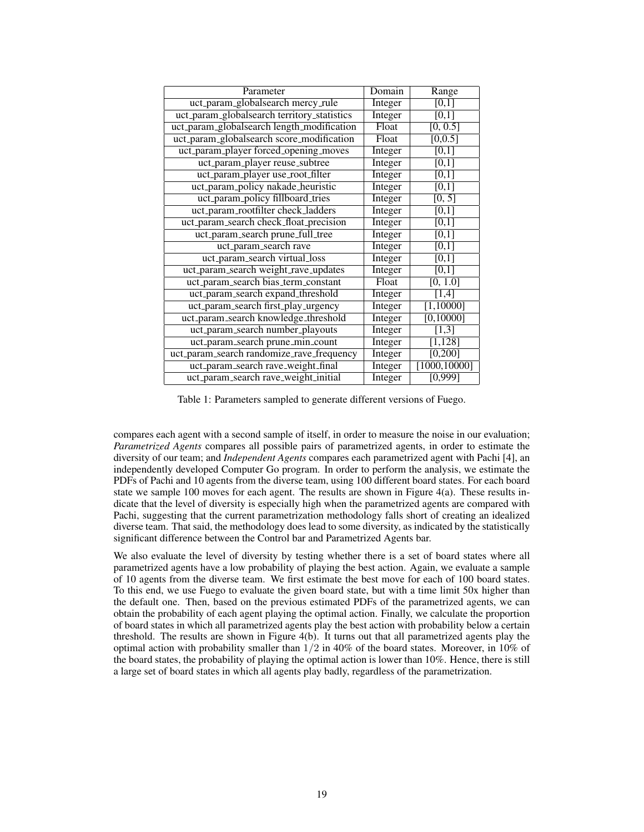<span id="page-18-0"></span>

| Parameter                                   | Domain  | Range                |
|---------------------------------------------|---------|----------------------|
| uct_param_globalsearch mercy_rule           | Integer | [0,1]                |
| uct_param_globalsearch territory_statistics | Integer | [0,1]                |
| uct_param_globalsearch length_modification  | Float   | [0, 0.5]             |
| uct_param_globalsearch score_modification   | Float   | [0, 0.5]             |
| uct_param_player forced_opening_moves       | Integer | [0,1]                |
| uct_param_player reuse_subtree              | Integer | [0,1]                |
| uct_param_player use_root_filter            | Integer | $\overline{[0,1]}$   |
| uct_param_policy nakade_heuristic           | Integer | [0,1]                |
| uct_param_policy fillboard_tries            | Integer | [0, 5]               |
| uct_param_rootfilter check_ladders          | Integer | [0,1]                |
| uct_param_search check_float_precision      | Integer | [0,1]                |
| uct_param_search prune_full_tree            | Integer | [0,1]                |
| uct_param_search rave                       | Integer | [0,1]                |
| uct_param_search virtual_loss               | Integer | [0,1]                |
| uct_param_search weight_rave_updates        | Integer | [0,1]                |
| uct_param_search bias_term_constant         | Float   | [0, 1.0]             |
| uct_param_search expand_threshold           | Integer | [1,4]                |
| uct_param_search first_play_urgency         | Integer | [1,10000]            |
| uct_param_search knowledge_threshold        | Integer | [0,10000]            |
| uct_param_search number_playouts            | Integer | $[1,3]$              |
| uct_param_search prune_min_count            | Integer | $\overline{[1,128]}$ |
| uct_param_search randomize_rave_frequency   | Integer | [0, 200]             |
| uct_param_search rave_weight_final          | Integer | [1000, 10000]        |
| uct_param_search rave_weight_initial        | Integer | $\sqrt{0,999}$       |

Table 1: Parameters sampled to generate different versions of Fuego.

compares each agent with a second sample of itself, in order to measure the noise in our evaluation; *Parametrized Agents* compares all possible pairs of parametrized agents, in order to estimate the diversity of our team; and *Independent Agents* compares each parametrized agent with Pachi [\[4\]](#page-8-25), an independently developed Computer Go program. In order to perform the analysis, we estimate the PDFs of Pachi and 10 agents from the diverse team, using 100 different board states. For each board state we sample 100 moves for each agent. The results are shown in Figure [4\(](#page-19-0)a). These results indicate that the level of diversity is especially high when the parametrized agents are compared with Pachi, suggesting that the current parametrization methodology falls short of creating an idealized diverse team. That said, the methodology does lead to some diversity, as indicated by the statistically significant difference between the Control bar and Parametrized Agents bar.

We also evaluate the level of diversity by testing whether there is a set of board states where all parametrized agents have a low probability of playing the best action. Again, we evaluate a sample of 10 agents from the diverse team. We first estimate the best move for each of 100 board states. To this end, we use Fuego to evaluate the given board state, but with a time limit 50x higher than the default one. Then, based on the previous estimated PDFs of the parametrized agents, we can obtain the probability of each agent playing the optimal action. Finally, we calculate the proportion of board states in which all parametrized agents play the best action with probability below a certain threshold. The results are shown in Figure [4\(](#page-19-0)b). It turns out that all parametrized agents play the optimal action with probability smaller than  $1/2$  in 40% of the board states. Moreover, in 10% of the board states, the probability of playing the optimal action is lower than 10%. Hence, there is still a large set of board states in which all agents play badly, regardless of the parametrization.